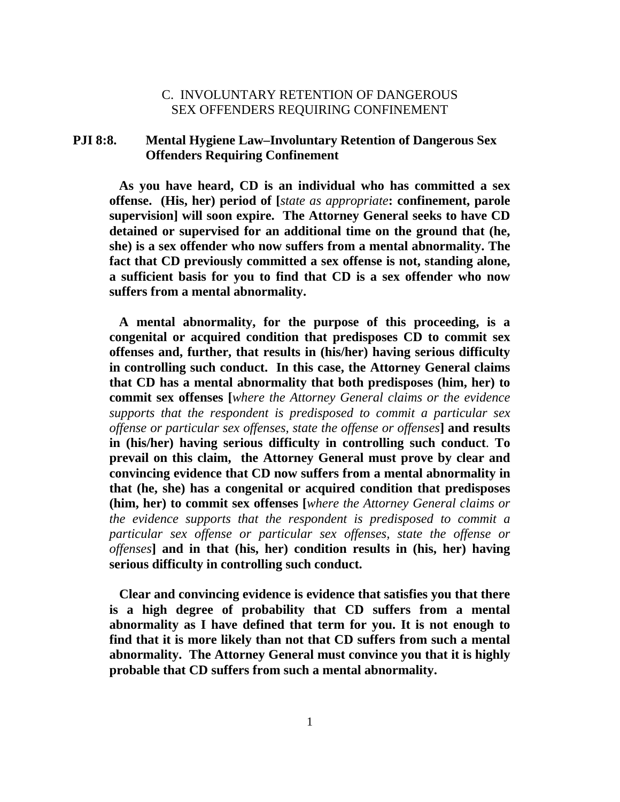# C. INVOLUNTARY RETENTION OF DANGEROUS SEX OFFENDERS REQUIRING CONFINEMENT

# **PJI 8:8. Mental Hygiene Law–Involuntary Retention of Dangerous Sex Offenders Requiring Confinement**

 **As you have heard, CD is an individual who has committed a sex offense. (His, her) period of [***state as appropriate***: confinement, parole supervision] will soon expire. The Attorney General seeks to have CD detained or supervised for an additional time on the ground that (he, she) is a sex offender who now suffers from a mental abnormality. The fact that CD previously committed a sex offense is not, standing alone, a sufficient basis for you to find that CD is a sex offender who now suffers from a mental abnormality.** 

 **A mental abnormality, for the purpose of this proceeding, is a congenital or acquired condition that predisposes CD to commit sex offenses and, further, that results in (his/her) having serious difficulty in controlling such conduct. In this case, the Attorney General claims that CD has a mental abnormality that both predisposes (him, her) to commit sex offenses [***where the Attorney General claims or the evidence supports that the respondent is predisposed to commit a particular sex offense or particular sex offenses, state the offense or offenses***] and results in (his/her) having serious difficulty in controlling such conduct**. **To prevail on this claim, the Attorney General must prove by clear and convincing evidence that CD now suffers from a mental abnormality in that (he, she) has a congenital or acquired condition that predisposes (him, her) to commit sex offenses [***where the Attorney General claims or the evidence supports that the respondent is predisposed to commit a particular sex offense or particular sex offenses, state the offense or offenses***] and in that (his, her) condition results in (his, her) having serious difficulty in controlling such conduct.** 

 **Clear and convincing evidence is evidence that satisfies you that there is a high degree of probability that CD suffers from a mental abnormality as I have defined that term for you. It is not enough to find that it is more likely than not that CD suffers from such a mental abnormality. The Attorney General must convince you that it is highly probable that CD suffers from such a mental abnormality.**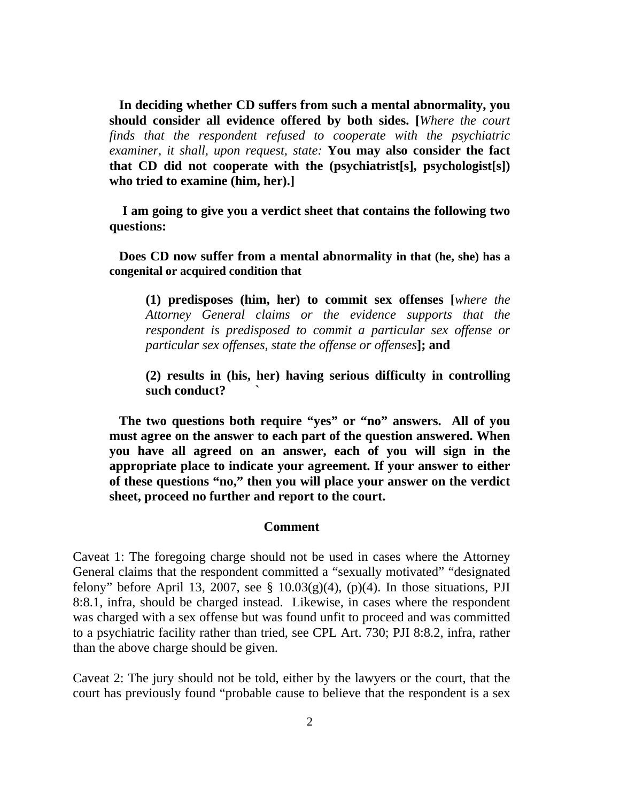**In deciding whether CD suffers from such a mental abnormality, you should consider all evidence offered by both sides. [***Where the court finds that the respondent refused to cooperate with the psychiatric examiner, it shall, upon request, state:* **You may also consider the fact that CD did not cooperate with the (psychiatrist[s], psychologist[s]) who tried to examine (him, her).]** 

 **I am going to give you a verdict sheet that contains the following two questions:** 

 **Does CD now suffer from a mental abnormality in that (he, she) has a congenital or acquired condition that**

**(1) predisposes (him, her) to commit sex offenses [***where the Attorney General claims or the evidence supports that the respondent is predisposed to commit a particular sex offense or particular sex offenses, state the offense or offenses***]; and** 

**(2) results in (his, her) having serious difficulty in controlling such conduct? `** 

 **The two questions both require "yes" or "no" answers. All of you must agree on the answer to each part of the question answered. When you have all agreed on an answer, each of you will sign in the appropriate place to indicate your agreement. If your answer to either of these questions "no," then you will place your answer on the verdict sheet, proceed no further and report to the court.** 

#### **Comment**

Caveat 1: The foregoing charge should not be used in cases where the Attorney General claims that the respondent committed a "sexually motivated" "designated felony" before April 13, 2007, see  $\S$  10.03(g)(4), (p)(4). In those situations, PJI 8:8.1, infra, should be charged instead. Likewise, in cases where the respondent was charged with a sex offense but was found unfit to proceed and was committed to a psychiatric facility rather than tried, see CPL Art. 730; PJI 8:8.2, infra, rather than the above charge should be given.

Caveat 2: The jury should not be told, either by the lawyers or the court, that the court has previously found "probable cause to believe that the respondent is a sex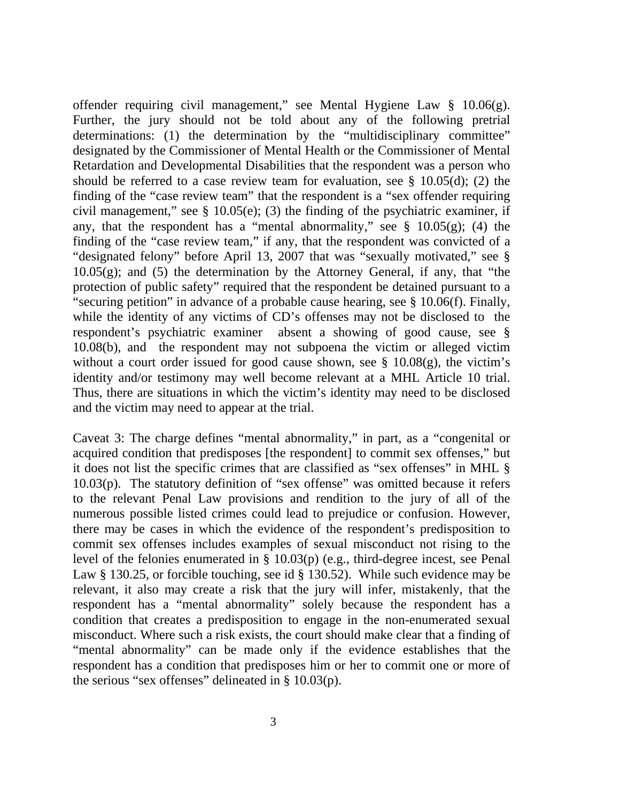offender requiring civil management," see Mental Hygiene Law § 10.06(g). Further, the jury should not be told about any of the following pretrial determinations: (1) the determination by the "multidisciplinary committee" designated by the Commissioner of Mental Health or the Commissioner of Mental Retardation and Developmental Disabilities that the respondent was a person who should be referred to a case review team for evaluation, see § 10.05(d); (2) the finding of the "case review team" that the respondent is a "sex offender requiring civil management," see § 10.05(e); (3) the finding of the psychiatric examiner, if any, that the respondent has a "mental abnormality," see  $\S$  10.05(g); (4) the finding of the "case review team," if any, that the respondent was convicted of a "designated felony" before April 13, 2007 that was "sexually motivated," see §  $10.05(g)$ ; and  $(5)$  the determination by the Attorney General, if any, that "the protection of public safety" required that the respondent be detained pursuant to a "securing petition" in advance of a probable cause hearing, see § 10.06(f). Finally, while the identity of any victims of CD's offenses may not be disclosed to the respondent's psychiatric examiner absent a showing of good cause, see § 10.08(b), and the respondent may not subpoena the victim or alleged victim without a court order issued for good cause shown, see § 10.08(g), the victim's identity and/or testimony may well become relevant at a MHL Article 10 trial. Thus, there are situations in which the victim's identity may need to be disclosed and the victim may need to appear at the trial.

Caveat 3: The charge defines "mental abnormality," in part, as a "congenital or acquired condition that predisposes [the respondent] to commit sex offenses," but it does not list the specific crimes that are classified as "sex offenses" in MHL § 10.03(p). The statutory definition of "sex offense" was omitted because it refers to the relevant Penal Law provisions and rendition to the jury of all of the numerous possible listed crimes could lead to prejudice or confusion. However, there may be cases in which the evidence of the respondent's predisposition to commit sex offenses includes examples of sexual misconduct not rising to the level of the felonies enumerated in § 10.03(p) (e.g., third-degree incest, see Penal Law § 130.25, or forcible touching, see id § 130.52). While such evidence may be relevant, it also may create a risk that the jury will infer, mistakenly, that the respondent has a "mental abnormality" solely because the respondent has a condition that creates a predisposition to engage in the non-enumerated sexual misconduct. Where such a risk exists, the court should make clear that a finding of "mental abnormality" can be made only if the evidence establishes that the respondent has a condition that predisposes him or her to commit one or more of the serious "sex offenses" delineated in  $\S$  10.03(p).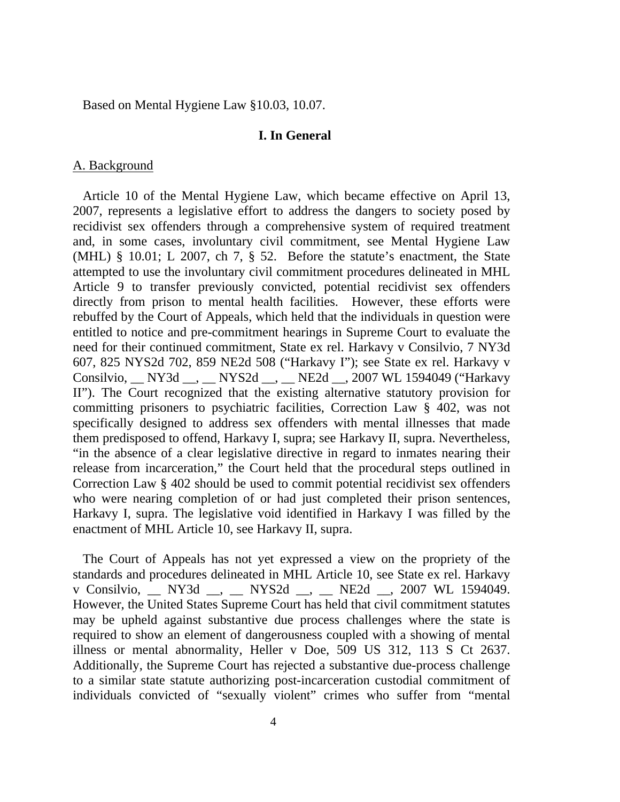Based on Mental Hygiene Law §10.03, 10.07.

## **I. In General**

## A. Background

 Article 10 of the Mental Hygiene Law, which became effective on April 13, 2007, represents a legislative effort to address the dangers to society posed by recidivist sex offenders through a comprehensive system of required treatment and, in some cases, involuntary civil commitment, see Mental Hygiene Law (MHL) § 10.01; L 2007, ch 7, § 52. Before the statute's enactment, the State attempted to use the involuntary civil commitment procedures delineated in MHL Article 9 to transfer previously convicted, potential recidivist sex offenders directly from prison to mental health facilities. However, these efforts were rebuffed by the Court of Appeals, which held that the individuals in question were entitled to notice and pre-commitment hearings in Supreme Court to evaluate the need for their continued commitment, State ex rel. Harkavy v Consilvio, 7 NY3d 607, 825 NYS2d 702, 859 NE2d 508 ("Harkavy I"); see State ex rel. Harkavy v Consilvio, \_\_ NY3d \_\_, \_\_ NYS2d \_\_, \_\_ NE2d \_\_, 2007 WL 1594049 ("Harkavy II"). The Court recognized that the existing alternative statutory provision for committing prisoners to psychiatric facilities, Correction Law § 402, was not specifically designed to address sex offenders with mental illnesses that made them predisposed to offend, Harkavy I, supra; see Harkavy II, supra. Nevertheless, "in the absence of a clear legislative directive in regard to inmates nearing their release from incarceration," the Court held that the procedural steps outlined in Correction Law § 402 should be used to commit potential recidivist sex offenders who were nearing completion of or had just completed their prison sentences, Harkavy I, supra. The legislative void identified in Harkavy I was filled by the enactment of MHL Article 10, see Harkavy II, supra.

 The Court of Appeals has not yet expressed a view on the propriety of the standards and procedures delineated in MHL Article 10, see State ex rel. Harkavy v Consilvio, \_\_ NY3d \_\_, \_\_ NYS2d \_\_, \_\_ NE2d \_\_, 2007 WL 1594049. However, the United States Supreme Court has held that civil commitment statutes may be upheld against substantive due process challenges where the state is required to show an element of dangerousness coupled with a showing of mental illness or mental abnormality, Heller v Doe, 509 US 312, 113 S Ct 2637. Additionally, the Supreme Court has rejected a substantive due-process challenge to a similar state statute authorizing post-incarceration custodial commitment of individuals convicted of "sexually violent" crimes who suffer from "mental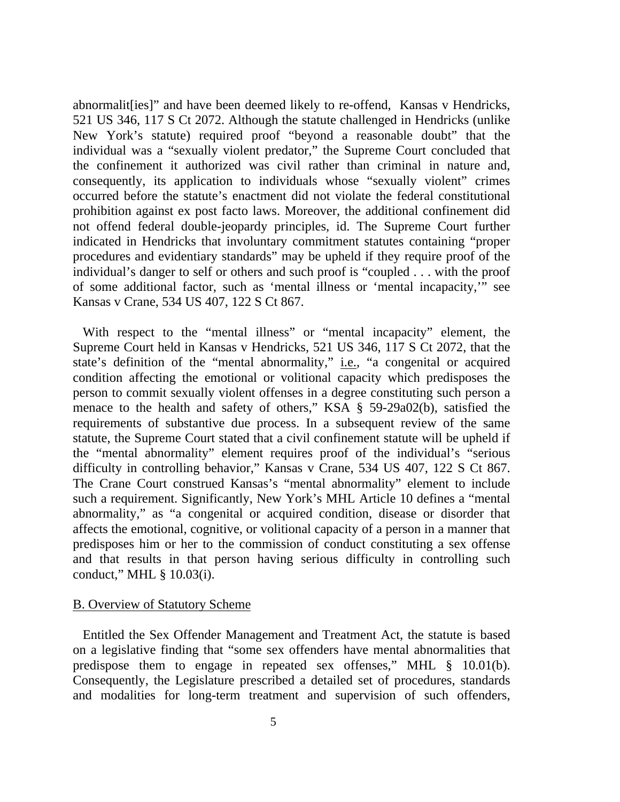abnormalit[ies]" and have been deemed likely to re-offend, Kansas v Hendricks, 521 US 346, 117 S Ct 2072. Although the statute challenged in Hendricks (unlike New York's statute) required proof "beyond a reasonable doubt" that the individual was a "sexually violent predator," the Supreme Court concluded that the confinement it authorized was civil rather than criminal in nature and, consequently, its application to individuals whose "sexually violent" crimes occurred before the statute's enactment did not violate the federal constitutional prohibition against ex post facto laws. Moreover, the additional confinement did not offend federal double-jeopardy principles, id. The Supreme Court further indicated in Hendricks that involuntary commitment statutes containing "proper procedures and evidentiary standards" may be upheld if they require proof of the individual's danger to self or others and such proof is "coupled . . . with the proof of some additional factor, such as 'mental illness or 'mental incapacity,'" see Kansas v Crane, 534 US 407, 122 S Ct 867.

 With respect to the "mental illness" or "mental incapacity" element, the Supreme Court held in Kansas v Hendricks, 521 US 346, 117 S Ct 2072, that the state's definition of the "mental abnormality," <u>i.e.</u>, "a congenital or acquired condition affecting the emotional or volitional capacity which predisposes the person to commit sexually violent offenses in a degree constituting such person a menace to the health and safety of others," KSA § 59-29a02(b), satisfied the requirements of substantive due process. In a subsequent review of the same statute, the Supreme Court stated that a civil confinement statute will be upheld if the "mental abnormality" element requires proof of the individual's "serious difficulty in controlling behavior," Kansas v Crane, 534 US 407, 122 S Ct 867. The Crane Court construed Kansas's "mental abnormality" element to include such a requirement. Significantly, New York's MHL Article 10 defines a "mental abnormality," as "a congenital or acquired condition, disease or disorder that affects the emotional, cognitive, or volitional capacity of a person in a manner that predisposes him or her to the commission of conduct constituting a sex offense and that results in that person having serious difficulty in controlling such conduct," MHL § 10.03(i).

### B. Overview of Statutory Scheme

 Entitled the Sex Offender Management and Treatment Act, the statute is based on a legislative finding that "some sex offenders have mental abnormalities that predispose them to engage in repeated sex offenses," MHL § 10.01(b). Consequently, the Legislature prescribed a detailed set of procedures, standards and modalities for long-term treatment and supervision of such offenders,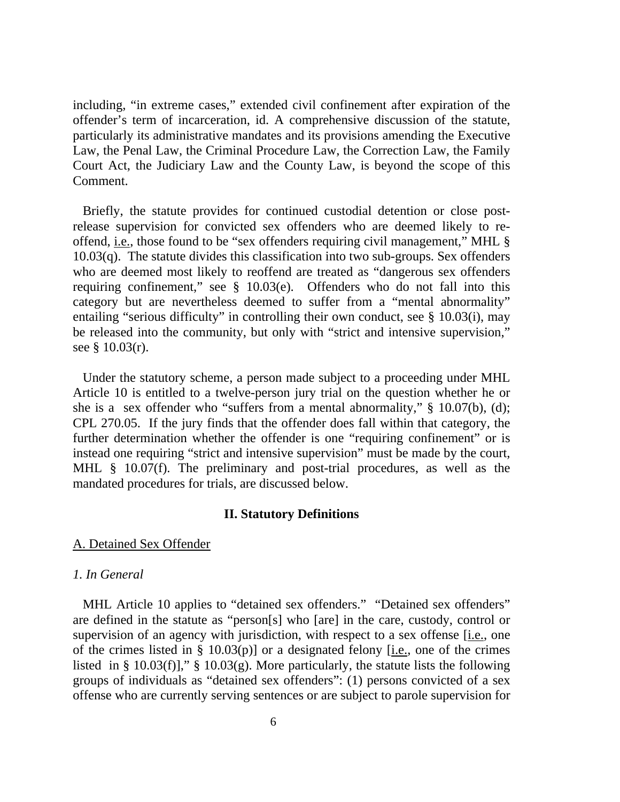including, "in extreme cases," extended civil confinement after expiration of the offender's term of incarceration, id. A comprehensive discussion of the statute, particularly its administrative mandates and its provisions amending the Executive Law, the Penal Law, the Criminal Procedure Law, the Correction Law, the Family Court Act, the Judiciary Law and the County Law, is beyond the scope of this Comment.

 Briefly, the statute provides for continued custodial detention or close postrelease supervision for convicted sex offenders who are deemed likely to reoffend, i.e., those found to be "sex offenders requiring civil management," MHL § 10.03(q). The statute divides this classification into two sub-groups. Sex offenders who are deemed most likely to reoffend are treated as "dangerous sex offenders requiring confinement," see § 10.03(e). Offenders who do not fall into this category but are nevertheless deemed to suffer from a "mental abnormality" entailing "serious difficulty" in controlling their own conduct, see § 10.03(i), may be released into the community, but only with "strict and intensive supervision," see § 10.03(r).

 Under the statutory scheme, a person made subject to a proceeding under MHL Article 10 is entitled to a twelve-person jury trial on the question whether he or she is a sex offender who "suffers from a mental abnormality," § 10.07(b), (d); CPL 270.05. If the jury finds that the offender does fall within that category, the further determination whether the offender is one "requiring confinement" or is instead one requiring "strict and intensive supervision" must be made by the court, MHL § 10.07(f). The preliminary and post-trial procedures, as well as the mandated procedures for trials, are discussed below.

#### **II. Statutory Definitions**

### A. Detained Sex Offender

## *1. In General*

 MHL Article 10 applies to "detained sex offenders." "Detained sex offenders" are defined in the statute as "person[s] who [are] in the care, custody, control or supervision of an agency with jurisdiction, with respect to a sex offense [i.e., one of the crimes listed in § 10.03(p)] or a designated felony  $[i.e.,$  one of the crimes listed in § 10.03(f)]," § 10.03(g). More particularly, the statute lists the following groups of individuals as "detained sex offenders": (1) persons convicted of a sex offense who are currently serving sentences or are subject to parole supervision for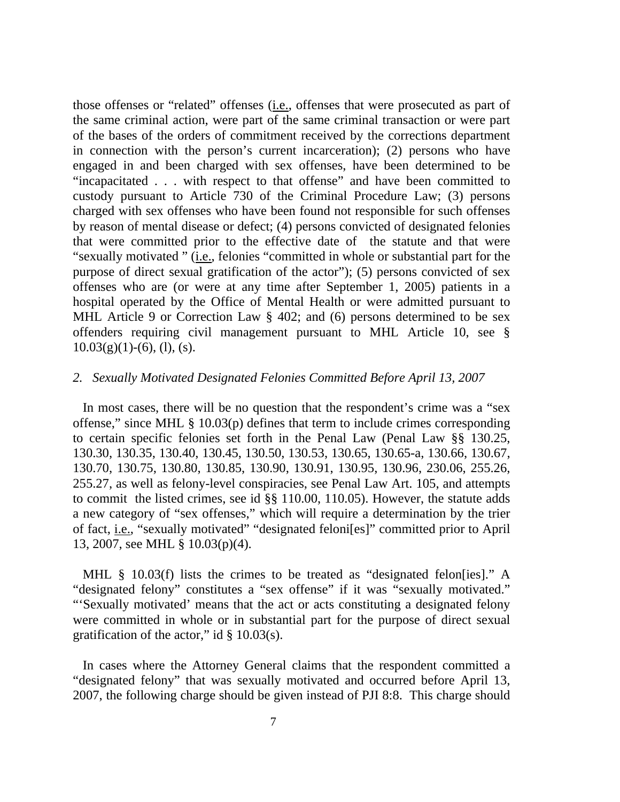those offenses or "related" offenses (i.e., offenses that were prosecuted as part of the same criminal action, were part of the same criminal transaction or were part of the bases of the orders of commitment received by the corrections department in connection with the person's current incarceration); (2) persons who have engaged in and been charged with sex offenses, have been determined to be "incapacitated . . . with respect to that offense" and have been committed to custody pursuant to Article 730 of the Criminal Procedure Law; (3) persons charged with sex offenses who have been found not responsible for such offenses by reason of mental disease or defect; (4) persons convicted of designated felonies that were committed prior to the effective date of the statute and that were "sexually motivated " (i.e., felonies "committed in whole or substantial part for the purpose of direct sexual gratification of the actor"); (5) persons convicted of sex offenses who are (or were at any time after September 1, 2005) patients in a hospital operated by the Office of Mental Health or were admitted pursuant to MHL Article 9 or Correction Law § 402; and (6) persons determined to be sex offenders requiring civil management pursuant to MHL Article 10, see §  $10.03(g)(1)-(6)$ , (1), (s).

### *2. Sexually Motivated Designated Felonies Committed Before April 13, 2007*

 In most cases, there will be no question that the respondent's crime was a "sex offense," since MHL § 10.03(p) defines that term to include crimes corresponding to certain specific felonies set forth in the Penal Law (Penal Law §§ 130.25, 130.30, 130.35, 130.40, 130.45, 130.50, 130.53, 130.65, 130.65-a, 130.66, 130.67, 130.70, 130.75, 130.80, 130.85, 130.90, 130.91, 130.95, 130.96, 230.06, 255.26, 255.27, as well as felony-level conspiracies, see Penal Law Art. 105, and attempts to commit the listed crimes, see id §§ 110.00, 110.05). However, the statute adds a new category of "sex offenses," which will require a determination by the trier of fact, i.e., "sexually motivated" "designated feloni[es]" committed prior to April 13, 2007, see MHL § 10.03(p)(4).

MHL § 10.03(f) lists the crimes to be treated as "designated felon[ies]." A "designated felony" constitutes a "sex offense" if it was "sexually motivated." "'Sexually motivated' means that the act or acts constituting a designated felony were committed in whole or in substantial part for the purpose of direct sexual gratification of the actor," id  $\S$  10.03(s).

 In cases where the Attorney General claims that the respondent committed a "designated felony" that was sexually motivated and occurred before April 13, 2007, the following charge should be given instead of PJI 8:8. This charge should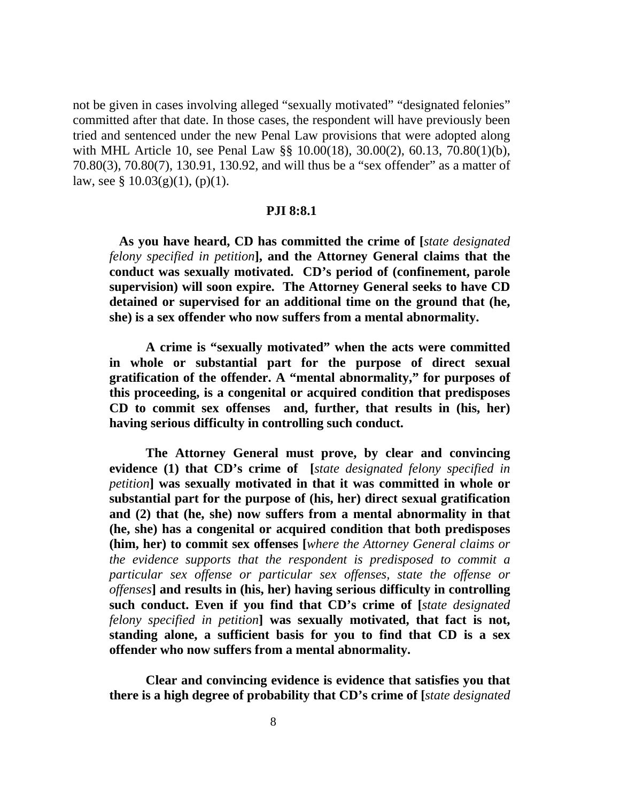not be given in cases involving alleged "sexually motivated" "designated felonies" committed after that date. In those cases, the respondent will have previously been tried and sentenced under the new Penal Law provisions that were adopted along with MHL Article 10, see Penal Law §§ 10.00(18), 30.00(2), 60.13, 70.80(1)(b), 70.80(3), 70.80(7), 130.91, 130.92, and will thus be a "sex offender" as a matter of law, see §  $10.03(g)(1)$ , (p)(1).

#### **PJI 8:8.1**

 **As you have heard, CD has committed the crime of [***state designated felony specified in petition***], and the Attorney General claims that the conduct was sexually motivated. CD's period of (confinement, parole supervision) will soon expire. The Attorney General seeks to have CD detained or supervised for an additional time on the ground that (he, she) is a sex offender who now suffers from a mental abnormality.** 

**A crime is "sexually motivated" when the acts were committed in whole or substantial part for the purpose of direct sexual gratification of the offender. A "mental abnormality," for purposes of this proceeding, is a congenital or acquired condition that predisposes CD to commit sex offenses and, further, that results in (his, her) having serious difficulty in controlling such conduct.**

**The Attorney General must prove, by clear and convincing evidence (1) that CD's crime of [***state designated felony specified in petition***] was sexually motivated in that it was committed in whole or substantial part for the purpose of (his, her) direct sexual gratification and (2) that (he, she) now suffers from a mental abnormality in that (he, she) has a congenital or acquired condition that both predisposes (him, her) to commit sex offenses [***where the Attorney General claims or the evidence supports that the respondent is predisposed to commit a particular sex offense or particular sex offenses, state the offense or offenses***] and results in (his, her) having serious difficulty in controlling such conduct. Even if you find that CD's crime of [***state designated felony specified in petition***] was sexually motivated, that fact is not, standing alone, a sufficient basis for you to find that CD is a sex offender who now suffers from a mental abnormality.**

 **Clear and convincing evidence is evidence that satisfies you that there is a high degree of probability that CD's crime of [***state designated*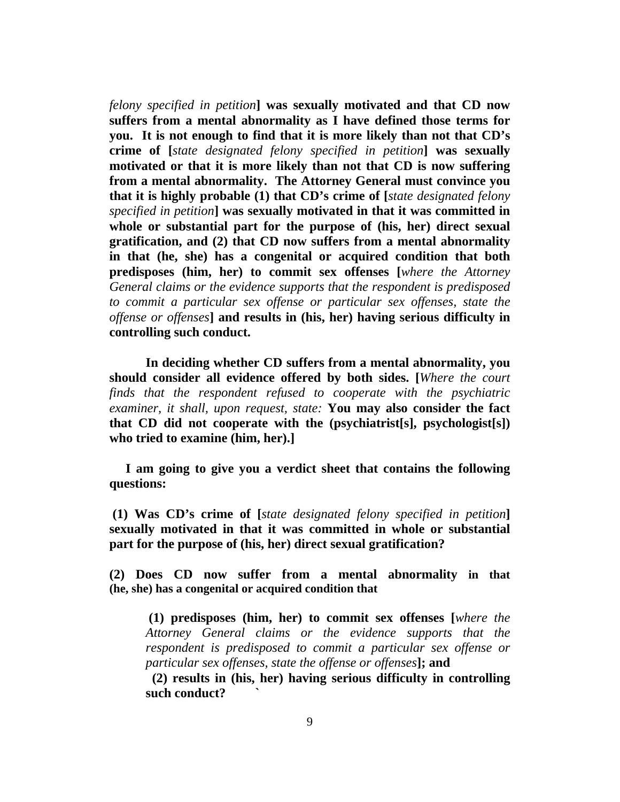*felony specified in petition***] was sexually motivated and that CD now suffers from a mental abnormality as I have defined those terms for you. It is not enough to find that it is more likely than not that CD's crime of [***state designated felony specified in petition***] was sexually motivated or that it is more likely than not that CD is now suffering from a mental abnormality. The Attorney General must convince you that it is highly probable (1) that CD's crime of [***state designated felony specified in petition***] was sexually motivated in that it was committed in whole or substantial part for the purpose of (his, her) direct sexual gratification, and (2) that CD now suffers from a mental abnormality in that (he, she) has a congenital or acquired condition that both predisposes (him, her) to commit sex offenses [***where the Attorney General claims or the evidence supports that the respondent is predisposed to commit a particular sex offense or particular sex offenses, state the offense or offenses***] and results in (his, her) having serious difficulty in controlling such conduct.** 

**In deciding whether CD suffers from a mental abnormality, you should consider all evidence offered by both sides. [***Where the court finds that the respondent refused to cooperate with the psychiatric examiner, it shall, upon request, state:* **You may also consider the fact that CD did not cooperate with the (psychiatrist[s], psychologist[s]) who tried to examine (him, her).]** 

 **I am going to give you a verdict sheet that contains the following questions:** 

 **(1) Was CD's crime of [***state designated felony specified in petition***] sexually motivated in that it was committed in whole or substantial part for the purpose of (his, her) direct sexual gratification?** 

**(2) Does CD now suffer from a mental abnormality in that (he, she) has a congenital or acquired condition that** 

**(1) predisposes (him, her) to commit sex offenses [***where the Attorney General claims or the evidence supports that the respondent is predisposed to commit a particular sex offense or particular sex offenses, state the offense or offenses***]; and** 

**(2) results in (his, her) having serious difficulty in controlling such conduct? `**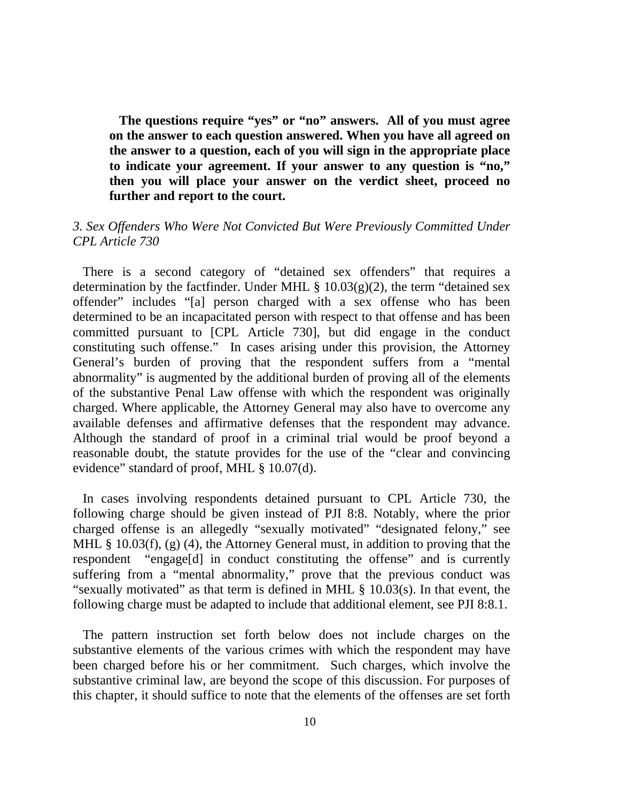**The questions require "yes" or "no" answers. All of you must agree on the answer to each question answered. When you have all agreed on the answer to a question, each of you will sign in the appropriate place to indicate your agreement. If your answer to any question is "no," then you will place your answer on the verdict sheet, proceed no further and report to the court.** 

# *3. Sex Offenders Who Were Not Convicted But Were Previously Committed Under CPL Article 730*

There is a second category of "detained sex offenders" that requires a determination by the factfinder. Under MHL  $\S$  10.03(g)(2), the term "detained sex offender" includes "[a] person charged with a sex offense who has been determined to be an incapacitated person with respect to that offense and has been committed pursuant to [CPL Article 730], but did engage in the conduct constituting such offense." In cases arising under this provision, the Attorney General's burden of proving that the respondent suffers from a "mental abnormality" is augmented by the additional burden of proving all of the elements of the substantive Penal Law offense with which the respondent was originally charged. Where applicable, the Attorney General may also have to overcome any available defenses and affirmative defenses that the respondent may advance. Although the standard of proof in a criminal trial would be proof beyond a reasonable doubt, the statute provides for the use of the "clear and convincing evidence" standard of proof, MHL § 10.07(d).

 In cases involving respondents detained pursuant to CPL Article 730, the following charge should be given instead of PJI 8:8. Notably, where the prior charged offense is an allegedly "sexually motivated" "designated felony," see MHL § 10.03(f), (g) (4), the Attorney General must, in addition to proving that the respondent "engage[d] in conduct constituting the offense" and is currently suffering from a "mental abnormality," prove that the previous conduct was "sexually motivated" as that term is defined in MHL § 10.03(s). In that event, the following charge must be adapted to include that additional element, see PJI 8:8.1.

 The pattern instruction set forth below does not include charges on the substantive elements of the various crimes with which the respondent may have been charged before his or her commitment. Such charges, which involve the substantive criminal law, are beyond the scope of this discussion. For purposes of this chapter, it should suffice to note that the elements of the offenses are set forth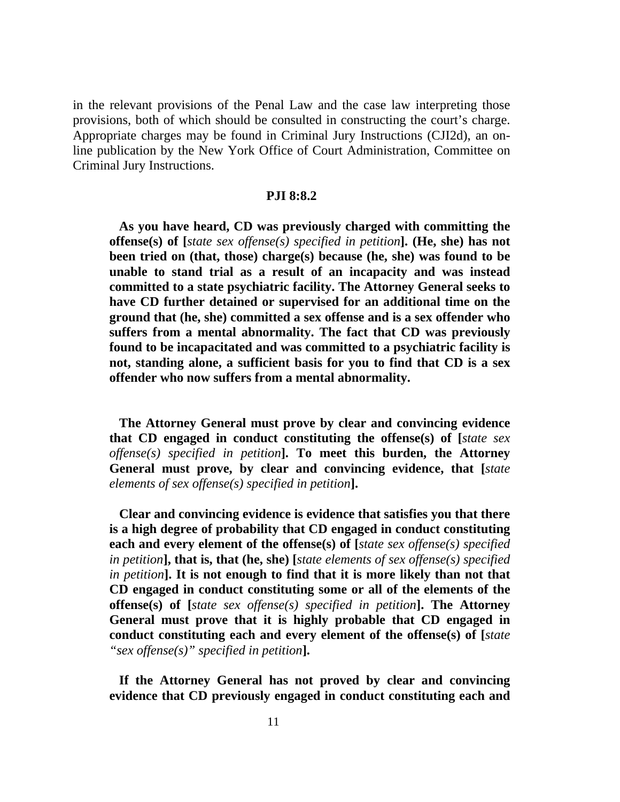in the relevant provisions of the Penal Law and the case law interpreting those provisions, both of which should be consulted in constructing the court's charge. Appropriate charges may be found in Criminal Jury Instructions (CJI2d), an online publication by the New York Office of Court Administration, Committee on Criminal Jury Instructions.

## **PJI 8:8.2**

 **As you have heard, CD was previously charged with committing the offense(s) of [***state sex offense(s) specified in petition***]. (He, she) has not been tried on (that, those) charge(s) because (he, she) was found to be unable to stand trial as a result of an incapacity and was instead committed to a state psychiatric facility. The Attorney General seeks to have CD further detained or supervised for an additional time on the ground that (he, she) committed a sex offense and is a sex offender who suffers from a mental abnormality. The fact that CD was previously found to be incapacitated and was committed to a psychiatric facility is not, standing alone, a sufficient basis for you to find that CD is a sex offender who now suffers from a mental abnormality.** 

 **The Attorney General must prove by clear and convincing evidence that CD engaged in conduct constituting the offense(s) of [***state sex offense(s) specified in petition***]. To meet this burden, the Attorney General must prove, by clear and convincing evidence, that [***state elements of sex offense(s) specified in petition***].** 

 **Clear and convincing evidence is evidence that satisfies you that there is a high degree of probability that CD engaged in conduct constituting each and every element of the offense(s) of [***state sex offense(s) specified in petition***], that is, that (he, she) [***state elements of sex offense(s) specified in petition***]. It is not enough to find that it is more likely than not that CD engaged in conduct constituting some or all of the elements of the offense(s) of [***state sex offense(s) specified in petition***]. The Attorney General must prove that it is highly probable that CD engaged in conduct constituting each and every element of the offense(s) of [***state "sex offense(s)" specified in petition***].** 

 **If the Attorney General has not proved by clear and convincing evidence that CD previously engaged in conduct constituting each and**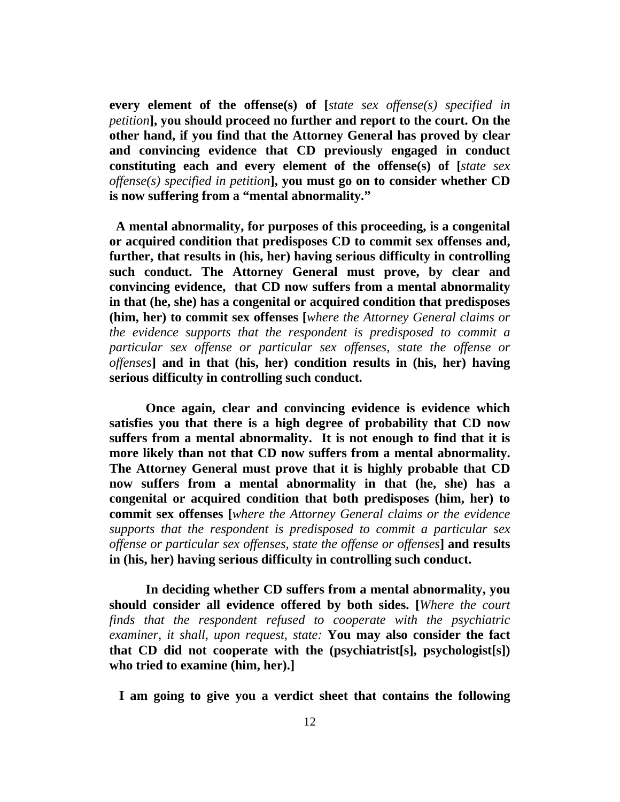**every element of the offense(s) of [***state sex offense(s) specified in petition***], you should proceed no further and report to the court. On the other hand, if you find that the Attorney General has proved by clear and convincing evidence that CD previously engaged in conduct constituting each and every element of the offense(s) of [***state sex offense(s) specified in petition***], you must go on to consider whether CD is now suffering from a "mental abnormality."** 

 **A mental abnormality, for purposes of this proceeding, is a congenital or acquired condition that predisposes CD to commit sex offenses and, further, that results in (his, her) having serious difficulty in controlling such conduct. The Attorney General must prove, by clear and convincing evidence, that CD now suffers from a mental abnormality in that (he, she) has a congenital or acquired condition that predisposes (him, her) to commit sex offenses [***where the Attorney General claims or the evidence supports that the respondent is predisposed to commit a particular sex offense or particular sex offenses, state the offense or offenses***] and in that (his, her) condition results in (his, her) having serious difficulty in controlling such conduct.** 

 **Once again, clear and convincing evidence is evidence which satisfies you that there is a high degree of probability that CD now suffers from a mental abnormality. It is not enough to find that it is more likely than not that CD now suffers from a mental abnormality. The Attorney General must prove that it is highly probable that CD now suffers from a mental abnormality in that (he, she) has a congenital or acquired condition that both predisposes (him, her) to commit sex offenses [***where the Attorney General claims or the evidence supports that the respondent is predisposed to commit a particular sex offense or particular sex offenses, state the offense or offenses***] and results in (his, her) having serious difficulty in controlling such conduct.** 

**In deciding whether CD suffers from a mental abnormality, you should consider all evidence offered by both sides. [***Where the court finds that the respondent refused to cooperate with the psychiatric examiner, it shall, upon request, state:* **You may also consider the fact that CD did not cooperate with the (psychiatrist[s], psychologist[s]) who tried to examine (him, her).]** 

 **I am going to give you a verdict sheet that contains the following**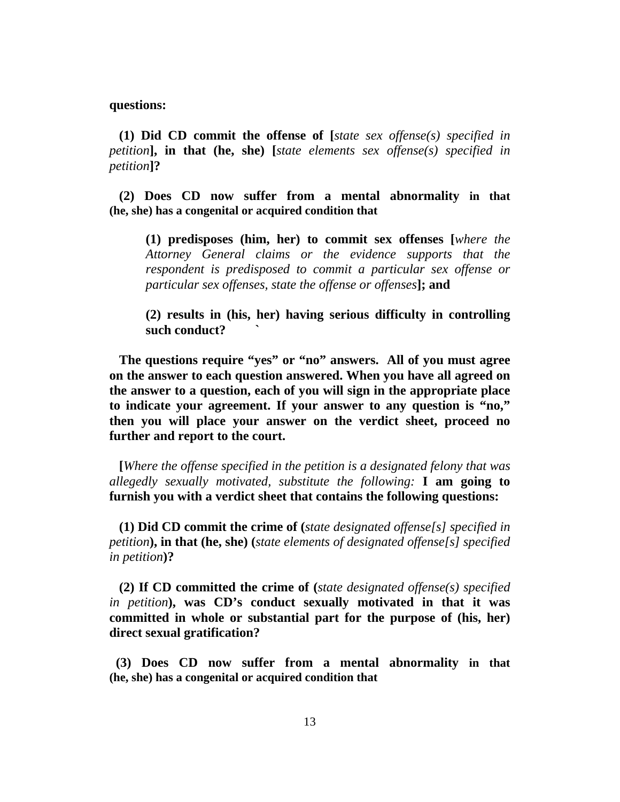#### **questions:**

 **(1) Did CD commit the offense of [***state sex offense(s) specified in petition***], in that (he, she) [***state elements sex offense(s) specified in petition***]?** 

 **(2) Does CD now suffer from a mental abnormality in that (he, she) has a congenital or acquired condition that**

**(1) predisposes (him, her) to commit sex offenses [***where the Attorney General claims or the evidence supports that the respondent is predisposed to commit a particular sex offense or particular sex offenses, state the offense or offenses***]; and** 

**(2) results in (his, her) having serious difficulty in controlling such conduct? `** 

 **The questions require "yes" or "no" answers. All of you must agree on the answer to each question answered. When you have all agreed on the answer to a question, each of you will sign in the appropriate place to indicate your agreement. If your answer to any question is "no," then you will place your answer on the verdict sheet, proceed no further and report to the court.** 

 **[***Where the offense specified in the petition is a designated felony that was allegedly sexually motivated, substitute the following:* **I am going to furnish you with a verdict sheet that contains the following questions:** 

 **(1) Did CD commit the crime of (***state designated offense[s] specified in petition***), in that (he, she) (***state elements of designated offense[s] specified in petition***)?** 

 **(2) If CD committed the crime of (***state designated offense(s) specified in petition***), was CD's conduct sexually motivated in that it was committed in whole or substantial part for the purpose of (his, her) direct sexual gratification?** 

 **(3) Does CD now suffer from a mental abnormality in that (he, she) has a congenital or acquired condition that**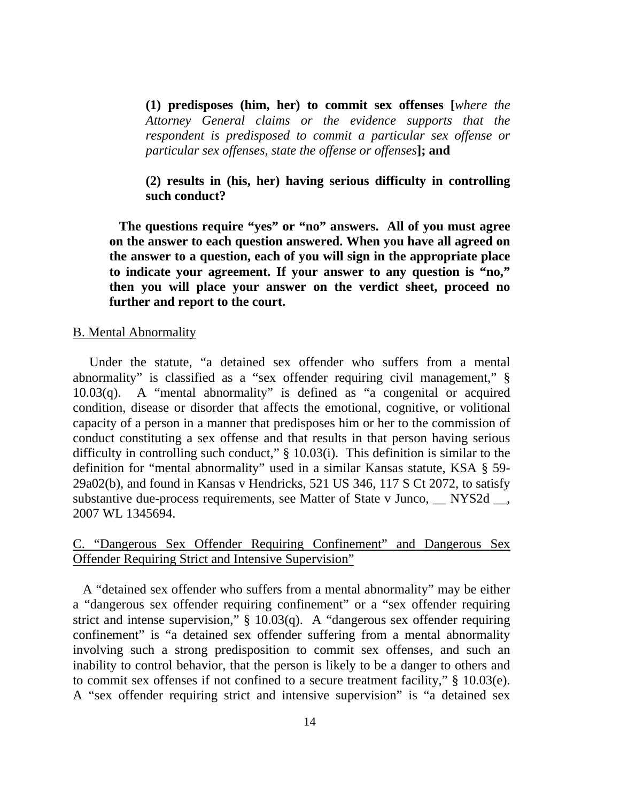**(1) predisposes (him, her) to commit sex offenses [***where the Attorney General claims or the evidence supports that the respondent is predisposed to commit a particular sex offense or particular sex offenses, state the offense or offenses***]; and** 

**(2) results in (his, her) having serious difficulty in controlling such conduct?** 

 **The questions require "yes" or "no" answers. All of you must agree on the answer to each question answered. When you have all agreed on the answer to a question, each of you will sign in the appropriate place to indicate your agreement. If your answer to any question is "no," then you will place your answer on the verdict sheet, proceed no further and report to the court.** 

### B. Mental Abnormality

 Under the statute, "a detained sex offender who suffers from a mental abnormality" is classified as a "sex offender requiring civil management," § 10.03(q). A "mental abnormality" is defined as "a congenital or acquired condition, disease or disorder that affects the emotional, cognitive, or volitional capacity of a person in a manner that predisposes him or her to the commission of conduct constituting a sex offense and that results in that person having serious difficulty in controlling such conduct," § 10.03(i). This definition is similar to the definition for "mental abnormality" used in a similar Kansas statute, KSA § 59- 29a02(b), and found in Kansas v Hendricks, 521 US 346, 117 S Ct 2072, to satisfy substantive due-process requirements, see Matter of State v Junco, NYS2d, 2007 WL 1345694.

# C. "Dangerous Sex Offender Requiring Confinement" and Dangerous Sex Offender Requiring Strict and Intensive Supervision"

 A "detained sex offender who suffers from a mental abnormality" may be either a "dangerous sex offender requiring confinement" or a "sex offender requiring strict and intense supervision," § 10.03(q). A "dangerous sex offender requiring confinement" is "a detained sex offender suffering from a mental abnormality involving such a strong predisposition to commit sex offenses, and such an inability to control behavior, that the person is likely to be a danger to others and to commit sex offenses if not confined to a secure treatment facility," § 10.03(e). A "sex offender requiring strict and intensive supervision" is "a detained sex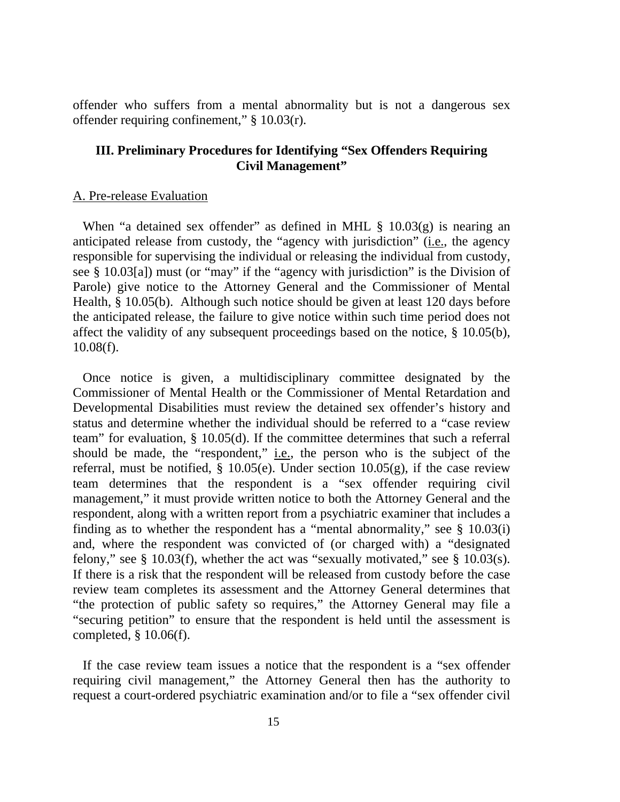offender who suffers from a mental abnormality but is not a dangerous sex offender requiring confinement," § 10.03(r).

# **III. Preliminary Procedures for Identifying "Sex Offenders Requiring Civil Management"**

## A. Pre-release Evaluation

When "a detained sex offender" as defined in MHL  $\S$  10.03(g) is nearing an anticipated release from custody, the "agency with jurisdiction" (i.e., the agency responsible for supervising the individual or releasing the individual from custody, see § 10.03[a]) must (or "may" if the "agency with jurisdiction" is the Division of Parole) give notice to the Attorney General and the Commissioner of Mental Health, § 10.05(b). Although such notice should be given at least 120 days before the anticipated release, the failure to give notice within such time period does not affect the validity of any subsequent proceedings based on the notice, § 10.05(b), 10.08(f).

 Once notice is given, a multidisciplinary committee designated by the Commissioner of Mental Health or the Commissioner of Mental Retardation and Developmental Disabilities must review the detained sex offender's history and status and determine whether the individual should be referred to a "case review team" for evaluation, § 10.05(d). If the committee determines that such a referral should be made, the "respondent," i.e., the person who is the subject of the referral, must be notified,  $\S$  10.05(e). Under section 10.05(g), if the case review team determines that the respondent is a "sex offender requiring civil management," it must provide written notice to both the Attorney General and the respondent, along with a written report from a psychiatric examiner that includes a finding as to whether the respondent has a "mental abnormality," see § 10.03(i) and, where the respondent was convicted of (or charged with) a "designated felony," see  $\S$  10.03(f), whether the act was "sexually motivated," see  $\S$  10.03(s). If there is a risk that the respondent will be released from custody before the case review team completes its assessment and the Attorney General determines that "the protection of public safety so requires," the Attorney General may file a "securing petition" to ensure that the respondent is held until the assessment is completed, § 10.06(f).

 If the case review team issues a notice that the respondent is a "sex offender requiring civil management," the Attorney General then has the authority to request a court-ordered psychiatric examination and/or to file a "sex offender civil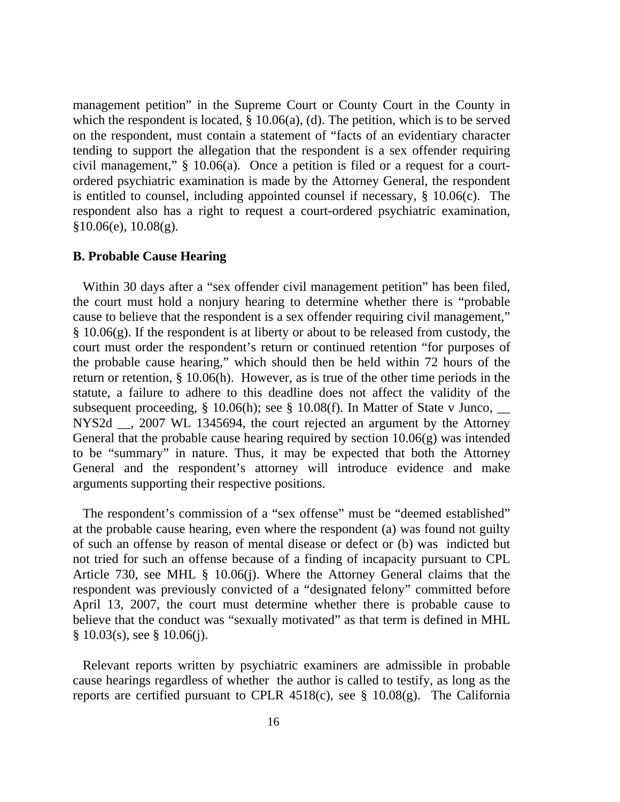management petition" in the Supreme Court or County Court in the County in which the respondent is located, § 10.06(a), (d). The petition, which is to be served on the respondent, must contain a statement of "facts of an evidentiary character tending to support the allegation that the respondent is a sex offender requiring civil management," § 10.06(a). Once a petition is filed or a request for a courtordered psychiatric examination is made by the Attorney General, the respondent is entitled to counsel, including appointed counsel if necessary, § 10.06(c). The respondent also has a right to request a court-ordered psychiatric examination,  $§10.06(e), 10.08(g).$ 

### **B. Probable Cause Hearing**

 Within 30 days after a "sex offender civil management petition" has been filed, the court must hold a nonjury hearing to determine whether there is "probable cause to believe that the respondent is a sex offender requiring civil management," § 10.06(g). If the respondent is at liberty or about to be released from custody, the court must order the respondent's return or continued retention "for purposes of the probable cause hearing," which should then be held within 72 hours of the return or retention, § 10.06(h). However, as is true of the other time periods in the statute, a failure to adhere to this deadline does not affect the validity of the subsequent proceeding,  $\S$  10.06(h); see  $\S$  10.08(f). In Matter of State v Junco, NYS2d \_\_, 2007 WL 1345694, the court rejected an argument by the Attorney General that the probable cause hearing required by section 10.06(g) was intended to be "summary" in nature. Thus, it may be expected that both the Attorney General and the respondent's attorney will introduce evidence and make arguments supporting their respective positions.

 The respondent's commission of a "sex offense" must be "deemed established" at the probable cause hearing, even where the respondent (a) was found not guilty of such an offense by reason of mental disease or defect or (b) was indicted but not tried for such an offense because of a finding of incapacity pursuant to CPL Article 730, see MHL § 10.06(j). Where the Attorney General claims that the respondent was previously convicted of a "designated felony" committed before April 13, 2007, the court must determine whether there is probable cause to believe that the conduct was "sexually motivated" as that term is defined in MHL  $§ 10.03(s)$ , see § 10.06(j).

 Relevant reports written by psychiatric examiners are admissible in probable cause hearings regardless of whether the author is called to testify, as long as the reports are certified pursuant to CPLR  $4518(c)$ , see §  $10.08(g)$ . The California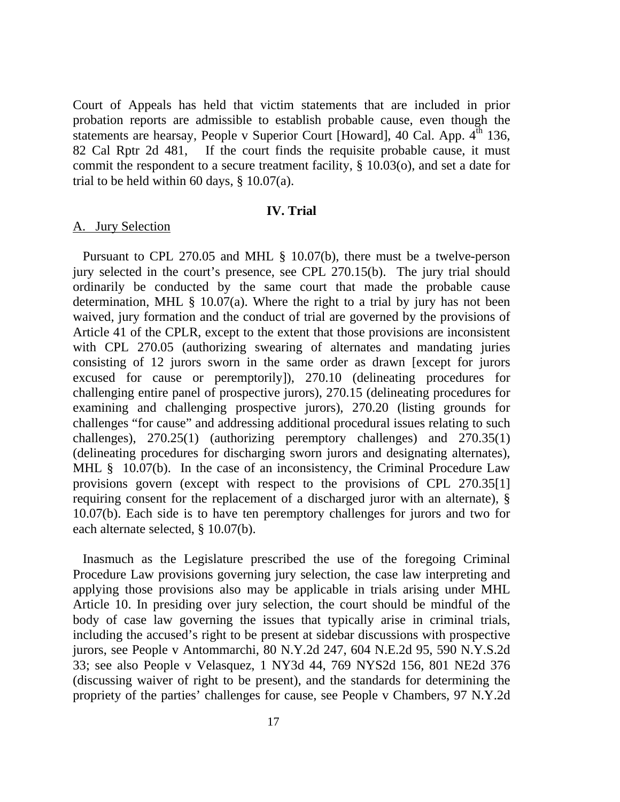Court of Appeals has held that victim statements that are included in prior probation reports are admissible to establish probable cause, even though the statements are hearsay, People v Superior Court [Howard], 40 Cal. App.  $4<sup>th</sup>$  136, 82 Cal Rptr 2d 481, If the court finds the requisite probable cause, it must commit the respondent to a secure treatment facility, § 10.03(o), and set a date for trial to be held within 60 days,  $\S$  10.07(a).

### **IV. Trial**

### A. Jury Selection

 Pursuant to CPL 270.05 and MHL § 10.07(b), there must be a twelve-person jury selected in the court's presence, see CPL 270.15(b). The jury trial should ordinarily be conducted by the same court that made the probable cause determination, MHL § 10.07(a). Where the right to a trial by jury has not been waived, jury formation and the conduct of trial are governed by the provisions of Article 41 of the CPLR, except to the extent that those provisions are inconsistent with CPL 270.05 (authorizing swearing of alternates and mandating juries consisting of 12 jurors sworn in the same order as drawn [except for jurors excused for cause or peremptorily]), 270.10 (delineating procedures for challenging entire panel of prospective jurors), 270.15 (delineating procedures for examining and challenging prospective jurors), 270.20 (listing grounds for challenges "for cause" and addressing additional procedural issues relating to such challenges), 270.25(1) (authorizing peremptory challenges) and 270.35(1) (delineating procedures for discharging sworn jurors and designating alternates), MHL § 10.07(b). In the case of an inconsistency, the Criminal Procedure Law provisions govern (except with respect to the provisions of CPL 270.35[1] requiring consent for the replacement of a discharged juror with an alternate), § 10.07(b). Each side is to have ten peremptory challenges for jurors and two for each alternate selected, § 10.07(b).

Inasmuch as the Legislature prescribed the use of the foregoing Criminal Procedure Law provisions governing jury selection, the case law interpreting and applying those provisions also may be applicable in trials arising under MHL Article 10. In presiding over jury selection, the court should be mindful of the body of case law governing the issues that typically arise in criminal trials, including the accused's right to be present at sidebar discussions with prospective jurors, see People v Antommarchi, 80 N.Y.2d 247, 604 N.E.2d 95, 590 N.Y.S.2d 33; see also People v Velasquez, 1 NY3d 44, 769 NYS2d 156, 801 NE2d 376 (discussing waiver of right to be present), and the standards for determining the propriety of the parties' challenges for cause, see People v Chambers, 97 N.Y.2d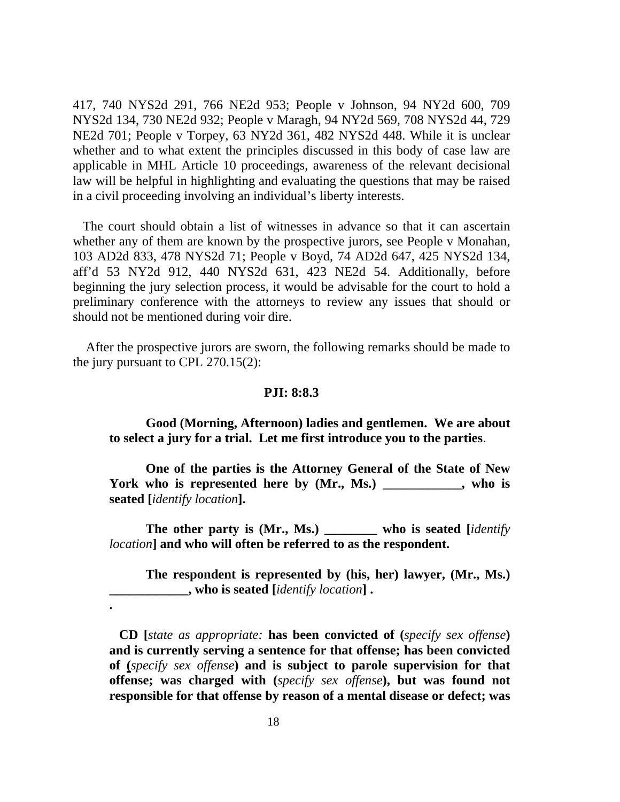417, 740 NYS2d 291, 766 NE2d 953; People v Johnson, 94 NY2d 600, 709 NYS2d 134, 730 NE2d 932; People v Maragh, 94 NY2d 569, 708 NYS2d 44, 729 NE2d 701; People v Torpey, 63 NY2d 361, 482 NYS2d 448. While it is unclear whether and to what extent the principles discussed in this body of case law are applicable in MHL Article 10 proceedings, awareness of the relevant decisional law will be helpful in highlighting and evaluating the questions that may be raised in a civil proceeding involving an individual's liberty interests.

 The court should obtain a list of witnesses in advance so that it can ascertain whether any of them are known by the prospective jurors, see People v Monahan, 103 AD2d 833, 478 NYS2d 71; People v Boyd, 74 AD2d 647, 425 NYS2d 134, aff'd 53 NY2d 912, 440 NYS2d 631, 423 NE2d 54. Additionally, before beginning the jury selection process, it would be advisable for the court to hold a preliminary conference with the attorneys to review any issues that should or should not be mentioned during voir dire.

 After the prospective jurors are sworn, the following remarks should be made to the jury pursuant to CPL 270.15(2):

### **PJI: 8:8.3**

 **Good (Morning, Afternoon) ladies and gentlemen. We are about to select a jury for a trial. Let me first introduce you to the parties**.

**One of the parties is the Attorney General of the State of New**  York who is represented here by  $(Mr, Ms)$  \_\_\_\_\_\_\_\_\_, who is **seated [***identify location***].** 

 **The other party is (Mr., Ms.) \_\_\_\_\_\_\_\_ who is seated [***identify location***] and who will often be referred to as the respondent.** 

 **The respondent is represented by (his, her) lawyer, (Mr., Ms.) \_\_\_\_\_\_\_\_\_\_\_\_, who is seated [***identify location***] .** 

 **CD [***state as appropriate:* **has been convicted of (***specify sex offense***) and is currently serving a sentence for that offense; has been convicted of (***specify sex offense***) and is subject to parole supervision for that offense; was charged with (***specify sex offense***), but was found not responsible for that offense by reason of a mental disease or defect; was** 

**.**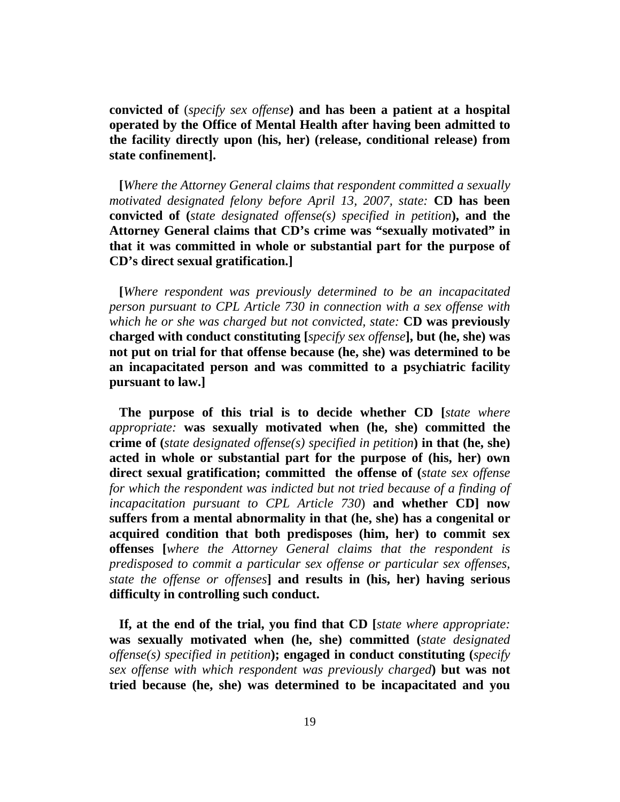**convicted of** (*specify sex offense***) and has been a patient at a hospital operated by the Office of Mental Health after having been admitted to the facility directly upon (his, her) (release, conditional release) from state confinement].** 

 **[***Where the Attorney General claims that respondent committed a sexually motivated designated felony before April 13, 2007, state:* **CD has been convicted of (***state designated offense(s) specified in petition***), and the Attorney General claims that CD's crime was "sexually motivated" in that it was committed in whole or substantial part for the purpose of CD's direct sexual gratification.]** 

 **[***Where respondent was previously determined to be an incapacitated person pursuant to CPL Article 730 in connection with a sex offense with which he or she was charged but not convicted, state:* **CD was previously charged with conduct constituting [***specify sex offense***], but (he, she) was not put on trial for that offense because (he, she) was determined to be an incapacitated person and was committed to a psychiatric facility pursuant to law.]** 

 **The purpose of this trial is to decide whether CD [***state where appropriate:* **was sexually motivated when (he, she) committed the crime of (***state designated offense(s) specified in petition***) in that (he, she) acted in whole or substantial part for the purpose of (his, her) own direct sexual gratification; committed the offense of (***state sex offense for which the respondent was indicted but not tried because of a finding of incapacitation pursuant to CPL Article 730*) **and whether CD] now suffers from a mental abnormality in that (he, she) has a congenital or acquired condition that both predisposes (him, her) to commit sex offenses [***where the Attorney General claims that the respondent is predisposed to commit a particular sex offense or particular sex offenses, state the offense or offenses***] and results in (his, her) having serious difficulty in controlling such conduct.**

 **If, at the end of the trial, you find that CD [***state where appropriate:*  **was sexually motivated when (he, she) committed (***state designated offense(s) specified in petition***); engaged in conduct constituting (***specify sex offense with which respondent was previously charged***) but was not tried because (he, she) was determined to be incapacitated and you**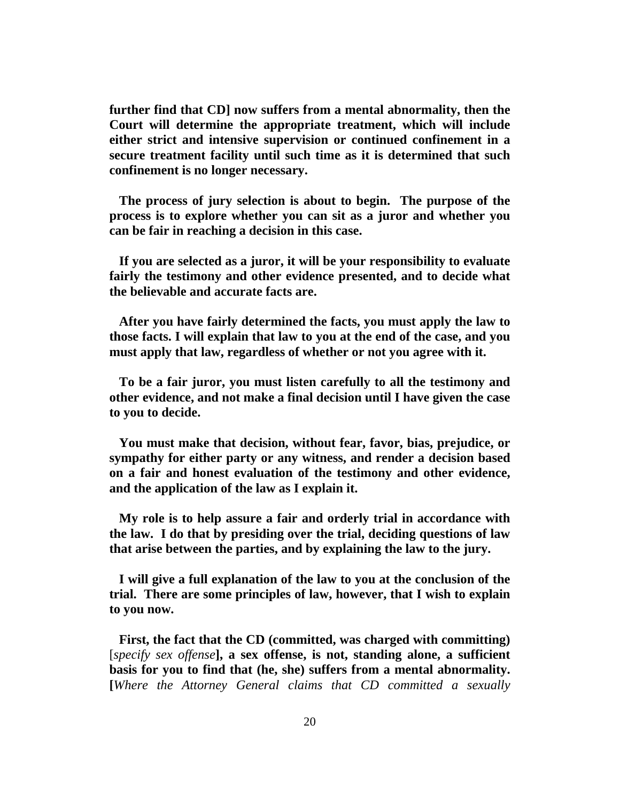**further find that CD] now suffers from a mental abnormality, then the Court will determine the appropriate treatment, which will include either strict and intensive supervision or continued confinement in a secure treatment facility until such time as it is determined that such confinement is no longer necessary.** 

 **The process of jury selection is about to begin. The purpose of the process is to explore whether you can sit as a juror and whether you can be fair in reaching a decision in this case.** 

 **If you are selected as a juror, it will be your responsibility to evaluate fairly the testimony and other evidence presented, and to decide what the believable and accurate facts are.** 

 **After you have fairly determined the facts, you must apply the law to those facts. I will explain that law to you at the end of the case, and you must apply that law, regardless of whether or not you agree with it.** 

 **To be a fair juror, you must listen carefully to all the testimony and other evidence, and not make a final decision until I have given the case to you to decide.** 

 **You must make that decision, without fear, favor, bias, prejudice, or sympathy for either party or any witness, and render a decision based on a fair and honest evaluation of the testimony and other evidence, and the application of the law as I explain it.** 

 **My role is to help assure a fair and orderly trial in accordance with the law. I do that by presiding over the trial, deciding questions of law that arise between the parties, and by explaining the law to the jury.** 

 **I will give a full explanation of the law to you at the conclusion of the trial. There are some principles of law, however, that I wish to explain to you now.** 

 **First, the fact that the CD (committed, was charged with committing)**  [*specify sex offense***], a sex offense, is not, standing alone, a sufficient basis for you to find that (he, she) suffers from a mental abnormality. [***Where the Attorney General claims that CD committed a sexually*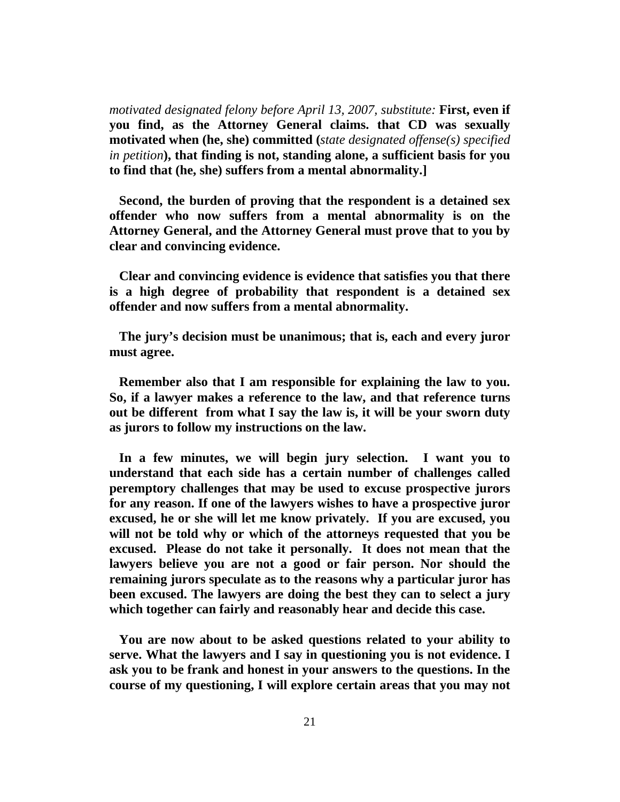*motivated designated felony before April 13, 2007, substitute:* **First, even if you find, as the Attorney General claims. that CD was sexually motivated when (he, she) committed (***state designated offense(s) specified in petition***), that finding is not, standing alone, a sufficient basis for you to find that (he, she) suffers from a mental abnormality.]** 

 **Second, the burden of proving that the respondent is a detained sex offender who now suffers from a mental abnormality is on the Attorney General, and the Attorney General must prove that to you by clear and convincing evidence.** 

 **Clear and convincing evidence is evidence that satisfies you that there is a high degree of probability that respondent is a detained sex offender and now suffers from a mental abnormality.**

 **The jury's decision must be unanimous; that is, each and every juror must agree.** 

 **Remember also that I am responsible for explaining the law to you. So, if a lawyer makes a reference to the law, and that reference turns out be different from what I say the law is, it will be your sworn duty as jurors to follow my instructions on the law.** 

 **In a few minutes, we will begin jury selection. I want you to understand that each side has a certain number of challenges called peremptory challenges that may be used to excuse prospective jurors for any reason. If one of the lawyers wishes to have a prospective juror excused, he or she will let me know privately. If you are excused, you will not be told why or which of the attorneys requested that you be excused. Please do not take it personally. It does not mean that the lawyers believe you are not a good or fair person. Nor should the remaining jurors speculate as to the reasons why a particular juror has been excused. The lawyers are doing the best they can to select a jury which together can fairly and reasonably hear and decide this case.** 

 **You are now about to be asked questions related to your ability to serve. What the lawyers and I say in questioning you is not evidence. I ask you to be frank and honest in your answers to the questions. In the course of my questioning, I will explore certain areas that you may not**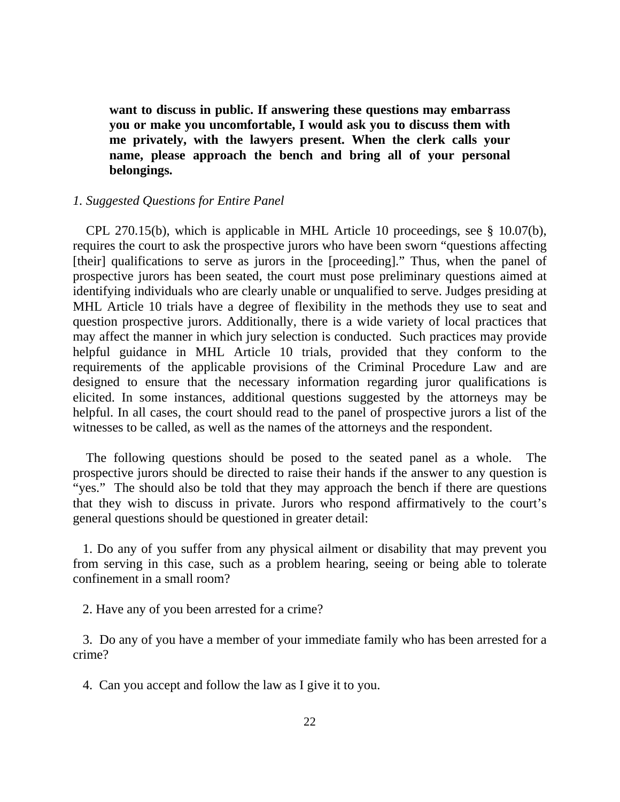**want to discuss in public. If answering these questions may embarrass you or make you uncomfortable, I would ask you to discuss them with me privately, with the lawyers present. When the clerk calls your name, please approach the bench and bring all of your personal belongings.** 

### *1. Suggested Questions for Entire Panel*

 CPL 270.15(b), which is applicable in MHL Article 10 proceedings, see § 10.07(b), requires the court to ask the prospective jurors who have been sworn "questions affecting [their] qualifications to serve as jurors in the [proceeding]." Thus, when the panel of prospective jurors has been seated, the court must pose preliminary questions aimed at identifying individuals who are clearly unable or unqualified to serve. Judges presiding at MHL Article 10 trials have a degree of flexibility in the methods they use to seat and question prospective jurors. Additionally, there is a wide variety of local practices that may affect the manner in which jury selection is conducted. Such practices may provide helpful guidance in MHL Article 10 trials, provided that they conform to the requirements of the applicable provisions of the Criminal Procedure Law and are designed to ensure that the necessary information regarding juror qualifications is elicited. In some instances, additional questions suggested by the attorneys may be helpful. In all cases, the court should read to the panel of prospective jurors a list of the witnesses to be called, as well as the names of the attorneys and the respondent.

 The following questions should be posed to the seated panel as a whole. The prospective jurors should be directed to raise their hands if the answer to any question is "yes." The should also be told that they may approach the bench if there are questions that they wish to discuss in private. Jurors who respond affirmatively to the court's general questions should be questioned in greater detail:

 1. Do any of you suffer from any physical ailment or disability that may prevent you from serving in this case, such as a problem hearing, seeing or being able to tolerate confinement in a small room?

2. Have any of you been arrested for a crime?

 3. Do any of you have a member of your immediate family who has been arrested for a crime?

4. Can you accept and follow the law as I give it to you.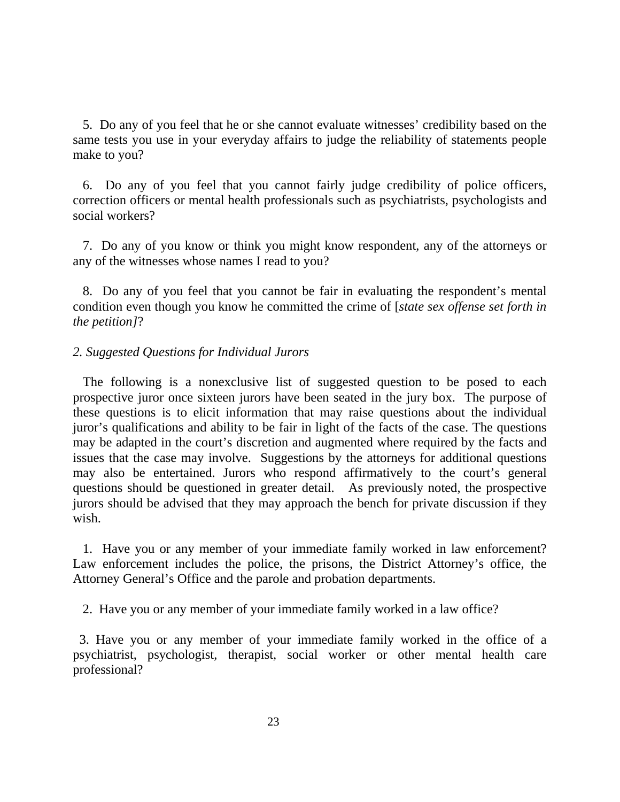5. Do any of you feel that he or she cannot evaluate witnesses' credibility based on the same tests you use in your everyday affairs to judge the reliability of statements people make to you?

 6. Do any of you feel that you cannot fairly judge credibility of police officers, correction officers or mental health professionals such as psychiatrists, psychologists and social workers?

 7. Do any of you know or think you might know respondent, any of the attorneys or any of the witnesses whose names I read to you?

 8. Do any of you feel that you cannot be fair in evaluating the respondent's mental condition even though you know he committed the crime of [*state sex offense set forth in the petition]*?

# *2. Suggested Questions for Individual Jurors*

 The following is a nonexclusive list of suggested question to be posed to each prospective juror once sixteen jurors have been seated in the jury box. The purpose of these questions is to elicit information that may raise questions about the individual juror's qualifications and ability to be fair in light of the facts of the case. The questions may be adapted in the court's discretion and augmented where required by the facts and issues that the case may involve. Suggestions by the attorneys for additional questions may also be entertained. Jurors who respond affirmatively to the court's general questions should be questioned in greater detail. As previously noted, the prospective jurors should be advised that they may approach the bench for private discussion if they wish.

 1. Have you or any member of your immediate family worked in law enforcement? Law enforcement includes the police, the prisons, the District Attorney's office, the Attorney General's Office and the parole and probation departments.

2. Have you or any member of your immediate family worked in a law office?

 3. Have you or any member of your immediate family worked in the office of a psychiatrist, psychologist, therapist, social worker or other mental health care professional?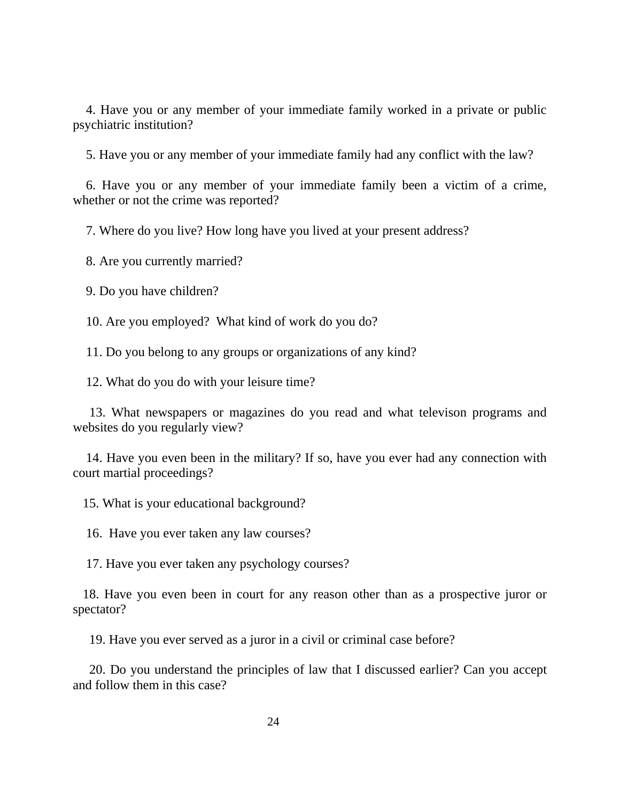4. Have you or any member of your immediate family worked in a private or public psychiatric institution?

5. Have you or any member of your immediate family had any conflict with the law?

 6. Have you or any member of your immediate family been a victim of a crime, whether or not the crime was reported?

7. Where do you live? How long have you lived at your present address?

8. Are you currently married?

9. Do you have children?

10. Are you employed? What kind of work do you do?

11. Do you belong to any groups or organizations of any kind?

12. What do you do with your leisure time?

 13. What newspapers or magazines do you read and what televison programs and websites do you regularly view?

 14. Have you even been in the military? If so, have you ever had any connection with court martial proceedings?

15. What is your educational background?

16. Have you ever taken any law courses?

17. Have you ever taken any psychology courses?

 18. Have you even been in court for any reason other than as a prospective juror or spectator?

19. Have you ever served as a juror in a civil or criminal case before?

 20. Do you understand the principles of law that I discussed earlier? Can you accept and follow them in this case?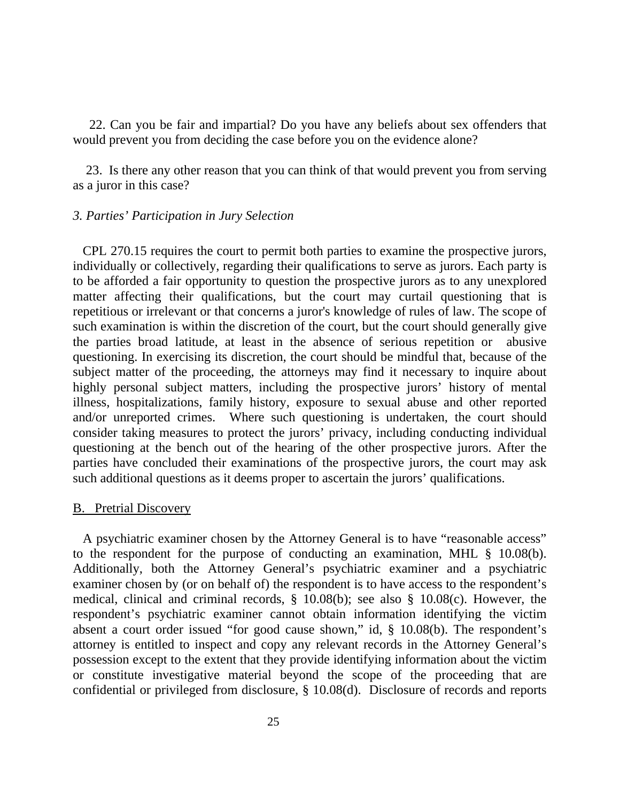22. Can you be fair and impartial? Do you have any beliefs about sex offenders that would prevent you from deciding the case before you on the evidence alone?

 23. Is there any other reason that you can think of that would prevent you from serving as a juror in this case?

## *3. Parties' Participation in Jury Selection*

 CPL 270.15 requires the court to permit both parties to examine the prospective jurors, individually or collectively, regarding their qualifications to serve as jurors. Each party is to be afforded a fair opportunity to question the prospective jurors as to any unexplored matter affecting their qualifications, but the court may curtail questioning that is repetitious or irrelevant or that concerns a juror's knowledge of rules of law. The scope of such examination is within the discretion of the court, but the court should generally give the parties broad latitude, at least in the absence of serious repetition or abusive questioning. In exercising its discretion, the court should be mindful that, because of the subject matter of the proceeding, the attorneys may find it necessary to inquire about highly personal subject matters, including the prospective jurors' history of mental illness, hospitalizations, family history, exposure to sexual abuse and other reported and/or unreported crimes. Where such questioning is undertaken, the court should consider taking measures to protect the jurors' privacy, including conducting individual questioning at the bench out of the hearing of the other prospective jurors. After the parties have concluded their examinations of the prospective jurors, the court may ask such additional questions as it deems proper to ascertain the jurors' qualifications.

### B. Pretrial Discovery

 A psychiatric examiner chosen by the Attorney General is to have "reasonable access" to the respondent for the purpose of conducting an examination, MHL § 10.08(b). Additionally, both the Attorney General's psychiatric examiner and a psychiatric examiner chosen by (or on behalf of) the respondent is to have access to the respondent's medical, clinical and criminal records, § 10.08(b); see also § 10.08(c). However, the respondent's psychiatric examiner cannot obtain information identifying the victim absent a court order issued "for good cause shown," id, § 10.08(b). The respondent's attorney is entitled to inspect and copy any relevant records in the Attorney General's possession except to the extent that they provide identifying information about the victim or constitute investigative material beyond the scope of the proceeding that are confidential or privileged from disclosure, § 10.08(d). Disclosure of records and reports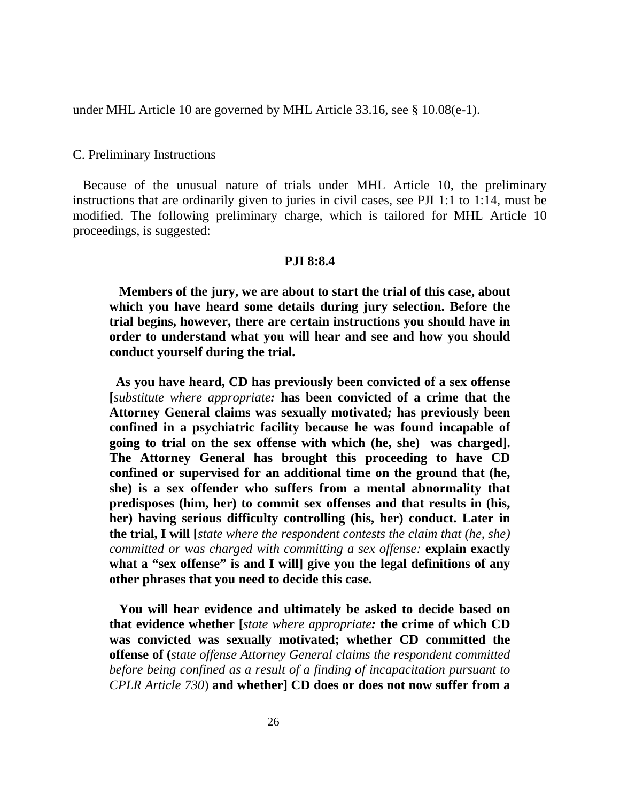under MHL Article 10 are governed by MHL Article 33.16, see § 10.08(e-1).

#### C. Preliminary Instructions

 Because of the unusual nature of trials under MHL Article 10, the preliminary instructions that are ordinarily given to juries in civil cases, see PJI 1:1 to 1:14, must be modified. The following preliminary charge, which is tailored for MHL Article 10 proceedings, is suggested:

#### **PJI 8:8.4**

 **Members of the jury, we are about to start the trial of this case, about which you have heard some details during jury selection. Before the trial begins, however, there are certain instructions you should have in order to understand what you will hear and see and how you should conduct yourself during the trial.** 

 **As you have heard, CD has previously been convicted of a sex offense [***substitute where appropriate:* **has been convicted of a crime that the Attorney General claims was sexually motivated***;* **has previously been confined in a psychiatric facility because he was found incapable of going to trial on the sex offense with which (he, she) was charged]. The Attorney General has brought this proceeding to have CD confined or supervised for an additional time on the ground that (he, she) is a sex offender who suffers from a mental abnormality that predisposes (him, her) to commit sex offenses and that results in (his, her) having serious difficulty controlling (his, her) conduct. Later in the trial, I will [***state where the respondent contests the claim that (he, she) committed or was charged with committing a sex offense:* **explain exactly what a "sex offense" is and I will] give you the legal definitions of any other phrases that you need to decide this case.** 

 **You will hear evidence and ultimately be asked to decide based on that evidence whether [***state where appropriate:* **the crime of which CD was convicted was sexually motivated; whether CD committed the offense of (***state offense Attorney General claims the respondent committed before being confined as a result of a finding of incapacitation pursuant to CPLR Article 730*) **and whether] CD does or does not now suffer from a**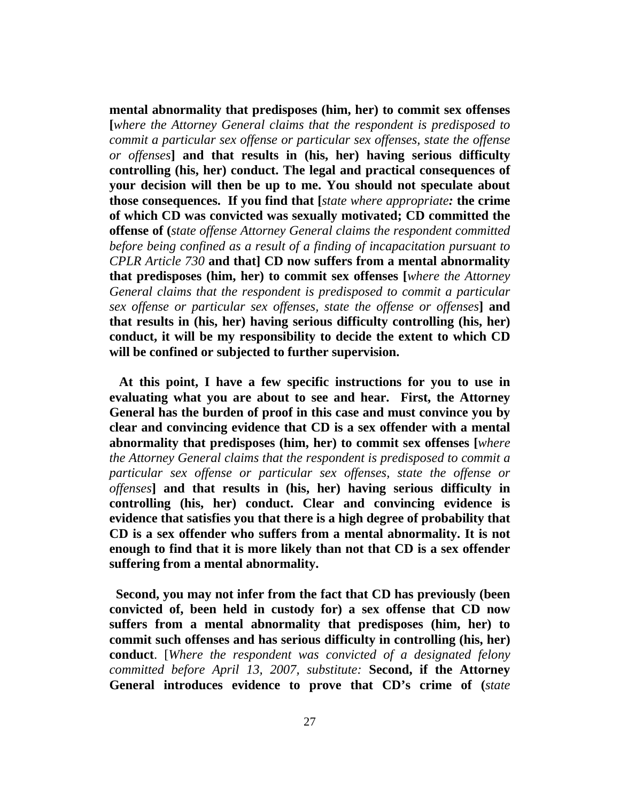**mental abnormality that predisposes (him, her) to commit sex offenses [***where the Attorney General claims that the respondent is predisposed to commit a particular sex offense or particular sex offenses, state the offense or offenses***] and that results in (his, her) having serious difficulty controlling (his, her) conduct. The legal and practical consequences of your decision will then be up to me. You should not speculate about those consequences. If you find that [***state where appropriate:* **the crime of which CD was convicted was sexually motivated; CD committed the offense of (***state offense Attorney General claims the respondent committed before being confined as a result of a finding of incapacitation pursuant to CPLR Article 730* **and that] CD now suffers from a mental abnormality that predisposes (him, her) to commit sex offenses [***where the Attorney General claims that the respondent is predisposed to commit a particular sex offense or particular sex offenses, state the offense or offenses***] and that results in (his, her) having serious difficulty controlling (his, her) conduct, it will be my responsibility to decide the extent to which CD will be confined or subjected to further supervision.** 

 **At this point, I have a few specific instructions for you to use in evaluating what you are about to see and hear. First, the Attorney General has the burden of proof in this case and must convince you by clear and convincing evidence that CD is a sex offender with a mental abnormality that predisposes (him, her) to commit sex offenses [***where the Attorney General claims that the respondent is predisposed to commit a particular sex offense or particular sex offenses, state the offense or offenses***] and that results in (his, her) having serious difficulty in controlling (his, her) conduct. Clear and convincing evidence is evidence that satisfies you that there is a high degree of probability that CD is a sex offender who suffers from a mental abnormality. It is not enough to find that it is more likely than not that CD is a sex offender suffering from a mental abnormality.** 

 **Second, you may not infer from the fact that CD has previously (been convicted of, been held in custody for) a sex offense that CD now suffers from a mental abnormality that predisposes (him, her) to commit such offenses and has serious difficulty in controlling (his, her) conduct**. [*Where the respondent was convicted of a designated felony committed before April 13, 2007, substitute:* **Second, if the Attorney General introduces evidence to prove that CD's crime of (***state*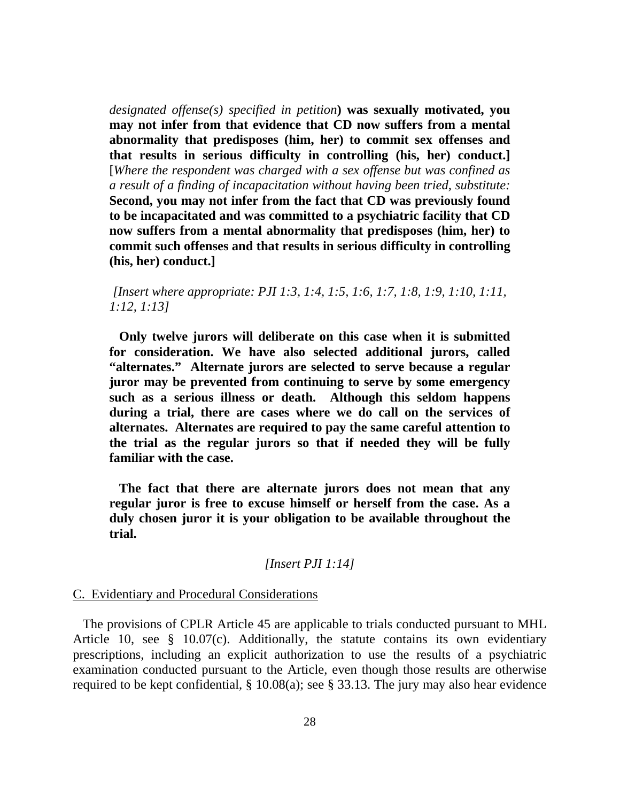*designated offense(s) specified in petition***) was sexually motivated, you may not infer from that evidence that CD now suffers from a mental abnormality that predisposes (him, her) to commit sex offenses and that results in serious difficulty in controlling (his, her) conduct.]** [*Where the respondent was charged with a sex offense but was confined as a result of a finding of incapacitation without having been tried, substitute:*  **Second, you may not infer from the fact that CD was previously found to be incapacitated and was committed to a psychiatric facility that CD now suffers from a mental abnormality that predisposes (him, her) to commit such offenses and that results in serious difficulty in controlling (his, her) conduct.]** 

*[Insert where appropriate: PJI 1:3, 1:4, 1:5, 1:6, 1:7, 1:8, 1:9, 1:10, 1:11, 1:12, 1:13]* 

 **Only twelve jurors will deliberate on this case when it is submitted for consideration. We have also selected additional jurors, called "alternates." Alternate jurors are selected to serve because a regular juror may be prevented from continuing to serve by some emergency such as a serious illness or death. Although this seldom happens during a trial, there are cases where we do call on the services of alternates. Alternates are required to pay the same careful attention to the trial as the regular jurors so that if needed they will be fully familiar with the case.** 

 **The fact that there are alternate jurors does not mean that any regular juror is free to excuse himself or herself from the case. As a duly chosen juror it is your obligation to be available throughout the trial.**

[Insert 
$$
PII 1:14
$$
]

### C. Evidentiary and Procedural Considerations

 The provisions of CPLR Article 45 are applicable to trials conducted pursuant to MHL Article 10, see § 10.07(c). Additionally, the statute contains its own evidentiary prescriptions, including an explicit authorization to use the results of a psychiatric examination conducted pursuant to the Article, even though those results are otherwise required to be kept confidential, § 10.08(a); see § 33.13. The jury may also hear evidence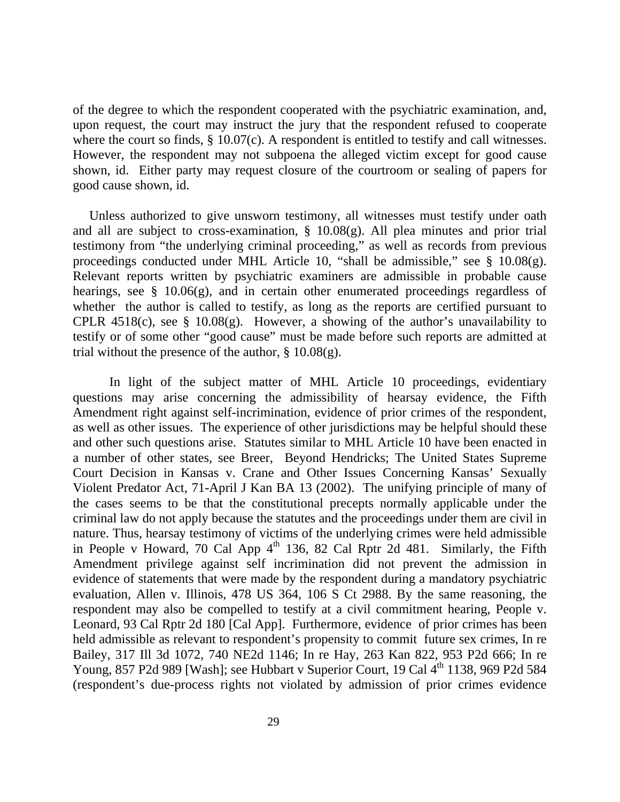of the degree to which the respondent cooperated with the psychiatric examination, and, upon request, the court may instruct the jury that the respondent refused to cooperate where the court so finds, § 10.07(c). A respondent is entitled to testify and call witnesses. However, the respondent may not subpoena the alleged victim except for good cause shown, id. Either party may request closure of the courtroom or sealing of papers for good cause shown, id.

 Unless authorized to give unsworn testimony, all witnesses must testify under oath and all are subject to cross-examination, § 10.08(g). All plea minutes and prior trial testimony from "the underlying criminal proceeding," as well as records from previous proceedings conducted under MHL Article 10, "shall be admissible," see § 10.08(g). Relevant reports written by psychiatric examiners are admissible in probable cause hearings, see § 10.06(g), and in certain other enumerated proceedings regardless of whether the author is called to testify, as long as the reports are certified pursuant to CPLR 4518(c), see  $\S$  10.08(g). However, a showing of the author's unavailability to testify or of some other "good cause" must be made before such reports are admitted at trial without the presence of the author,  $\S 10.08(g)$ .

 In light of the subject matter of MHL Article 10 proceedings, evidentiary questions may arise concerning the admissibility of hearsay evidence, the Fifth Amendment right against self-incrimination, evidence of prior crimes of the respondent, as well as other issues. The experience of other jurisdictions may be helpful should these and other such questions arise. Statutes similar to MHL Article 10 have been enacted in a number of other states, see Breer, Beyond Hendricks; The United States Supreme Court Decision in Kansas v. Crane and Other Issues Concerning Kansas' Sexually Violent Predator Act, 71-April J Kan BA 13 (2002). The unifying principle of many of the cases seems to be that the constitutional precepts normally applicable under the criminal law do not apply because the statutes and the proceedings under them are civil in nature. Thus, hearsay testimony of victims of the underlying crimes were held admissible in People v Howard, 70 Cal App  $4<sup>th</sup>$  136, 82 Cal Rptr 2d 481. Similarly, the Fifth Amendment privilege against self incrimination did not prevent the admission in evidence of statements that were made by the respondent during a mandatory psychiatric evaluation, Allen v. Illinois, 478 US 364, 106 S Ct 2988. By the same reasoning, the respondent may also be compelled to testify at a civil commitment hearing, People v. Leonard, 93 Cal Rptr 2d 180 [Cal App]. Furthermore, evidence of prior crimes has been held admissible as relevant to respondent's propensity to commit future sex crimes, In re Bailey, 317 Ill 3d 1072, 740 NE2d 1146; In re Hay, 263 Kan 822, 953 P2d 666; In re Young, 857 P2d 989 [Wash]; see Hubbart v Superior Court, 19 Cal 4<sup>th</sup> 1138, 969 P2d 584 (respondent's due-process rights not violated by admission of prior crimes evidence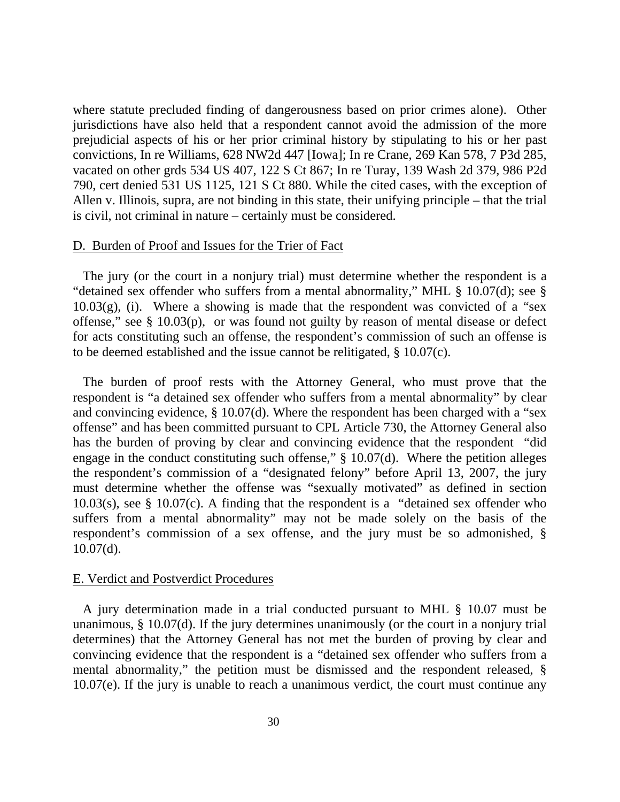where statute precluded finding of dangerousness based on prior crimes alone). Other jurisdictions have also held that a respondent cannot avoid the admission of the more prejudicial aspects of his or her prior criminal history by stipulating to his or her past convictions, In re Williams, 628 NW2d 447 [Iowa]; In re Crane, 269 Kan 578, 7 P3d 285, vacated on other grds 534 US 407, 122 S Ct 867; In re Turay, 139 Wash 2d 379, 986 P2d 790, cert denied 531 US 1125, 121 S Ct 880. While the cited cases, with the exception of Allen v. Illinois, supra, are not binding in this state, their unifying principle – that the trial is civil, not criminal in nature – certainly must be considered.

## D. Burden of Proof and Issues for the Trier of Fact

 The jury (or the court in a nonjury trial) must determine whether the respondent is a "detained sex offender who suffers from a mental abnormality," MHL § 10.07(d); see §  $10.03(g)$ , (i). Where a showing is made that the respondent was convicted of a "sex" offense," see § 10.03(p), or was found not guilty by reason of mental disease or defect for acts constituting such an offense, the respondent's commission of such an offense is to be deemed established and the issue cannot be relitigated, § 10.07(c).

 The burden of proof rests with the Attorney General, who must prove that the respondent is "a detained sex offender who suffers from a mental abnormality" by clear and convincing evidence, § 10.07(d). Where the respondent has been charged with a "sex offense" and has been committed pursuant to CPL Article 730, the Attorney General also has the burden of proving by clear and convincing evidence that the respondent "did engage in the conduct constituting such offense," § 10.07(d). Where the petition alleges the respondent's commission of a "designated felony" before April 13, 2007, the jury must determine whether the offense was "sexually motivated" as defined in section 10.03(s), see § 10.07(c). A finding that the respondent is a "detained sex offender who suffers from a mental abnormality" may not be made solely on the basis of the respondent's commission of a sex offense, and the jury must be so admonished, § 10.07(d).

## E. Verdict and Postverdict Procedures

 A jury determination made in a trial conducted pursuant to MHL § 10.07 must be unanimous, § 10.07(d). If the jury determines unanimously (or the court in a nonjury trial determines) that the Attorney General has not met the burden of proving by clear and convincing evidence that the respondent is a "detained sex offender who suffers from a mental abnormality," the petition must be dismissed and the respondent released, § 10.07(e). If the jury is unable to reach a unanimous verdict, the court must continue any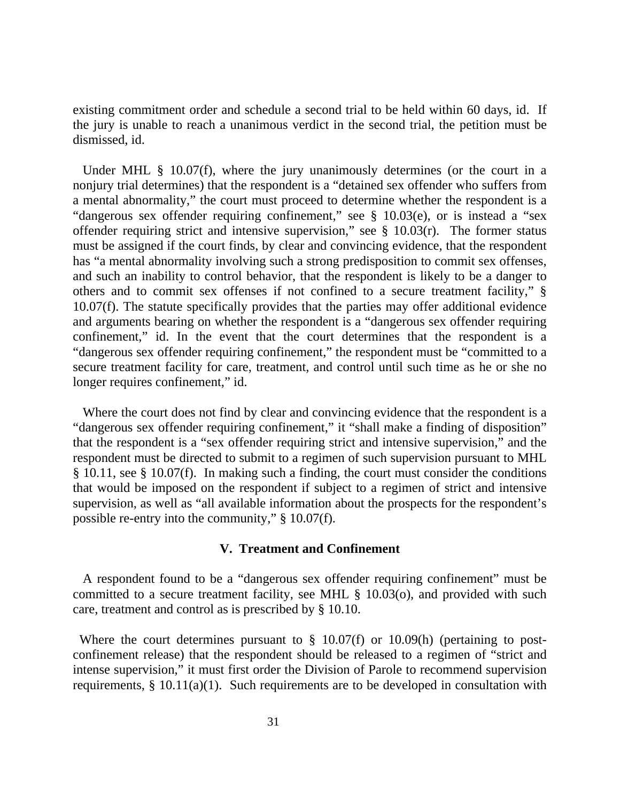existing commitment order and schedule a second trial to be held within 60 days, id. If the jury is unable to reach a unanimous verdict in the second trial, the petition must be dismissed, id.

Under MHL § 10.07(f), where the jury unanimously determines (or the court in a nonjury trial determines) that the respondent is a "detained sex offender who suffers from a mental abnormality," the court must proceed to determine whether the respondent is a "dangerous sex offender requiring confinement," see § 10.03(e), or is instead a "sex offender requiring strict and intensive supervision," see § 10.03(r). The former status must be assigned if the court finds, by clear and convincing evidence, that the respondent has "a mental abnormality involving such a strong predisposition to commit sex offenses, and such an inability to control behavior, that the respondent is likely to be a danger to others and to commit sex offenses if not confined to a secure treatment facility," § 10.07(f). The statute specifically provides that the parties may offer additional evidence and arguments bearing on whether the respondent is a "dangerous sex offender requiring confinement," id. In the event that the court determines that the respondent is a "dangerous sex offender requiring confinement," the respondent must be "committed to a secure treatment facility for care, treatment, and control until such time as he or she no longer requires confinement," id.

 Where the court does not find by clear and convincing evidence that the respondent is a "dangerous sex offender requiring confinement," it "shall make a finding of disposition" that the respondent is a "sex offender requiring strict and intensive supervision," and the respondent must be directed to submit to a regimen of such supervision pursuant to MHL § 10.11, see § 10.07(f). In making such a finding, the court must consider the conditions that would be imposed on the respondent if subject to a regimen of strict and intensive supervision, as well as "all available information about the prospects for the respondent's possible re-entry into the community," § 10.07(f).

## **V. Treatment and Confinement**

 A respondent found to be a "dangerous sex offender requiring confinement" must be committed to a secure treatment facility, see MHL § 10.03(o), and provided with such care, treatment and control as is prescribed by § 10.10.

Where the court determines pursuant to  $\S$  10.07(f) or 10.09(h) (pertaining to postconfinement release) that the respondent should be released to a regimen of "strict and intense supervision," it must first order the Division of Parole to recommend supervision requirements, § 10.11(a)(1). Such requirements are to be developed in consultation with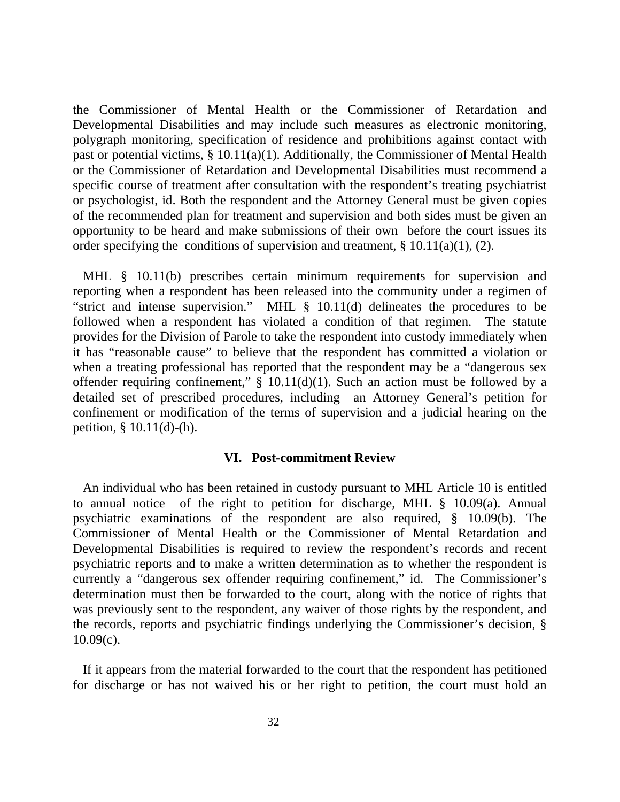the Commissioner of Mental Health or the Commissioner of Retardation and Developmental Disabilities and may include such measures as electronic monitoring, polygraph monitoring, specification of residence and prohibitions against contact with past or potential victims, § 10.11(a)(1). Additionally, the Commissioner of Mental Health or the Commissioner of Retardation and Developmental Disabilities must recommend a specific course of treatment after consultation with the respondent's treating psychiatrist or psychologist, id. Both the respondent and the Attorney General must be given copies of the recommended plan for treatment and supervision and both sides must be given an opportunity to be heard and make submissions of their own before the court issues its order specifying the conditions of supervision and treatment,  $\S 10.11(a)(1)$ , (2).

MHL § 10.11(b) prescribes certain minimum requirements for supervision and reporting when a respondent has been released into the community under a regimen of "strict and intense supervision." MHL § 10.11(d) delineates the procedures to be followed when a respondent has violated a condition of that regimen. The statute provides for the Division of Parole to take the respondent into custody immediately when it has "reasonable cause" to believe that the respondent has committed a violation or when a treating professional has reported that the respondent may be a "dangerous sex offender requiring confinement,"  $\S$  10.11(d)(1). Such an action must be followed by a detailed set of prescribed procedures, including an Attorney General's petition for confinement or modification of the terms of supervision and a judicial hearing on the petition, § 10.11(d)-(h).

## **VI. Post-commitment Review**

 An individual who has been retained in custody pursuant to MHL Article 10 is entitled to annual notice of the right to petition for discharge, MHL § 10.09(a). Annual psychiatric examinations of the respondent are also required, § 10.09(b). The Commissioner of Mental Health or the Commissioner of Mental Retardation and Developmental Disabilities is required to review the respondent's records and recent psychiatric reports and to make a written determination as to whether the respondent is currently a "dangerous sex offender requiring confinement," id. The Commissioner's determination must then be forwarded to the court, along with the notice of rights that was previously sent to the respondent, any waiver of those rights by the respondent, and the records, reports and psychiatric findings underlying the Commissioner's decision, §  $10.09(c)$ .

 If it appears from the material forwarded to the court that the respondent has petitioned for discharge or has not waived his or her right to petition, the court must hold an